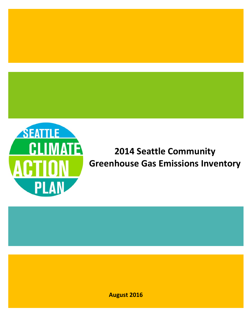

# **2014 Seattle Community Greenhouse Gas Emissions Inventory**

**August 2016**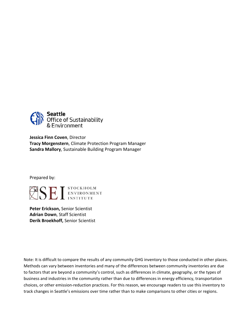

**Jessica Finn Coven**, Director **Tracy Morgenstern**, Climate Protection Program Manager **Sandra Mallory**, Sustainable Building Program Manager

Prepared by:



**Peter Erickson,** Senior Scientist **Adrian Down**, Staff Scientist **Derik Broekhoff,** Senior Scientist

Note: It is difficult to compare the results of any community GHG inventory to those conducted in other places. Methods can vary between inventories and many of the differences between community inventories are due to factors that are beyond a community's control, such as differences in climate, geography, or the types of business and industries in the community rather than due to differences in energy efficiency, transportation choices, or other emission‐reduction practices. For this reason, we encourage readers to use this inventory to track changes in Seattle's emissions over time rather than to make comparisons to other cities or regions.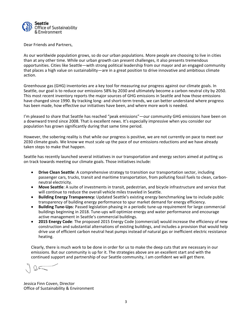

Dear Friends and Partners,

As our worldwide population grows, so do our urban populations. More people are choosing to live in cities than at any other time. While our urban growth can present challenges, it also presents tremendous opportunities. Cities like Seattle—with strong political leadership from our mayor and an engaged community that places a high value on sustainability—are in a great position to drive innovative and ambitious climate action.

Greenhouse gas (GHG) inventories are a key tool for measuring our progress against our climate goals. In Seattle, our goal is to reduce our emissions 58% by 2030 and ultimately become a carbon neutral city by 2050. This most recent inventory reports the major sources of GHG emissions in Seattle and how those emissions have changed since 1990. By tracking long‐ and short‐term trends, we can better understand where progress has been made, how effective our initiatives have been, and where more work is needed.

I'm pleased to share that Seattle has reached "peak emissions"—our community GHG emissions have been on a downward trend since 2008. That is excellent news. It's especially impressive when you consider our population has grown significantly during that same time period.

However, the sobering reality is that while our progress is positive, we are not currently on pace to meet our 2030 climate goals. We know we must scale up the pace of our emissions reductions and we have already taken steps to make that happen.

Seattle has recently launched several initiatives in our transportation and energy sectors aimed at putting us on track towards meeting our climate goals. Those initiatives include:

- **Drive Clean Seattle**: A comprehensive strategy to transition our transportation sector, including passenger cars, trucks, transit and maritime transportation, from polluting fossil fuels to clean, carbon‐ neutral electricity.
- **Move Seattle**: A suite of investments in transit, pedestrian, and bicycle infrastructure and service that will continue to reduce the overall vehicle miles traveled in Seattle.
- **Building Energy Transparency:** Updated Seattle's existing energy benchmarking law to include public transparency of building energy performance to spur market demand for energy efficiency.
- **Building Tune‐Ups**: Passed legislation phasing in a periodic tune‐up requirement for large commercial buildings beginning in 2018. Tune‐ups will optimize energy and water performance and encourage active management in Seattle's commercial buildings.
- **2015 Energy Code**: The proposed 2015 Energy Code (commercial) would increase the efficiency of new construction and substantial alternations of existing buildings, and includes a provision that would help drive use of efficient carbon neutral heat pumps instead of natural gas or inefficient electric resistance heating.

Clearly, there is much work to be done in order for us to make the deep cuts that are necessary in our emissions. But our community is up for it. The strategies above are an excellent start and with the continued support and partnership of our Seattle community, I am confident we will get there.

Jessica Finn Coven, Director Office of Sustainability & Environment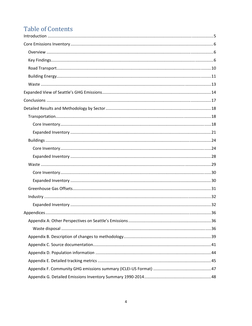# **Table of Contents**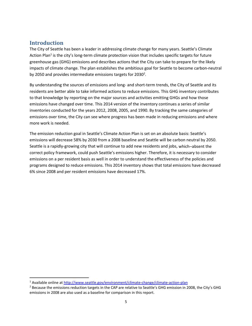# **Introduction**

The City of Seattle has been a leader in addressing climate change for many years. Seattle's Climate Action Plan<sup>1</sup> is the city's long-term climate protection vision that includes specific targets for future greenhouse gas (GHG) emissions and describes actions that the City can take to prepare for the likely impacts of climate change. The plan establishes the ambitious goal for Seattle to become carbon‐neutral by 2050 and provides intermediate emissions targets for 2030<sup>2</sup>.

By understanding the sources of emissions and long‐ and short‐term trends, the City of Seattle and its residents are better able to take informed actions to reduce emissions. This GHG inventory contributes to that knowledge by reporting on the major sources and activities emitting GHGs and how those emissions have changed over time. This 2014 version of the inventory continues a series of similar inventories conducted for the years 2012, 2008, 2005, and 1990. By tracking the same categories of emissions over time, the City can see where progress has been made in reducing emissions and where more work is needed.

The emission reduction goal in Seattle's Climate Action Plan is set on an absolute basis: Seattle's emissions will decrease 58% by 2030 from a 2008 baseline and Seattle will be carbon neutral by 2050. Seattle is a rapidly‐growing city that will continue to add new residents and jobs, which–absent the correct policy framework, could push Seattle's emissions higher. Therefore, it is necessary to consider emissions on a per resident basis as well in order to understand the effectiveness of the policies and programs designed to reduce emissions. This 2014 inventory shows that total emissions have decreased 6% since 2008 and per resident emissions have decreased 17%.

<sup>&</sup>lt;sup>1</sup> Available online at http://www.seattle.gov/environment/climate-change/climate-action-plan

<sup>&</sup>lt;sup>2</sup> Because the emissions reduction targets in the CAP are relative to Seattle's GHG emission in 2008, the City's GHG emissions in 2008 are also used as a baseline for comparison in this report.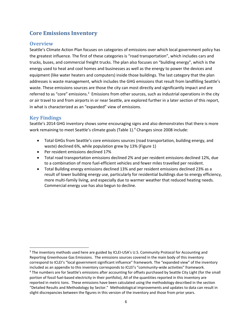# **Core Emissions Inventory**

# **Overview**

Seattle's Climate Action Plan focuses on categories of emissions over which local government policy has the greatest influence. The first of these categories is "road transportation", which includes cars and trucks, buses, and commercial freight trucks. The plan also focuses on "building energy", which is the energy used to heat and cool homes and businesses as well as the energy to power the devices and equipment (like water heaters and computers) inside those buildings. The last category that the plan addresses is waste management, which includes the GHG emissions that result from landfilling Seattle's waste. These emissions sources are those the city can most directly and significantly impact and are referred to as "core" emissions.<sup>3</sup> Emissions from other sources, such as industrial operations in the city or air travel to and from airports in or near Seattle, are explored further in a later section of this report, in what is characterized as an "expanded" view of emissions.

# **Key Findings**

Seattle's 2014 GHG inventory shows some encouraging signs and also demonstrates that there is more work remaining to meet Seattle's climate goals (Table 1).<sup>4</sup> Changes since 2008 include:

- Total GHGs from Seattle's core emissions sources (road transportation, building energy, and waste) declined 6%, while population grew by 13% (Figure 1)
- Per resident emissions declined 17%
- Total road transportation emissions declined 2% and per resident emissions declined 12%, due to a combination of more fuel‐efficient vehicles and fewer miles travelled per resident.
- Total Building energy emissions declined 13% and per resident emissions declined 23% as a result of lower building energy use, particularly for residential buildings due to energy efficiency, more multi-family living, and especially due to warmer weather that reduced heating needs. Commercial energy use has also begun to decline.

 <sup>3</sup> The inventory methods used here are guided by ICLEI-USA's U.S. Community Protocol for Accounting and Reporting Greenhouse Gas Emissions. The emissions sources covered in the main body of this inventory correspond to ICLEI's "local government significant influence" framework. The "expanded view" of the inventory included as an appendix to this inventory corresponds to ICLEI's "community-wide activities" framework.

<sup>4</sup> The numbers are for Seattle's emissions after accounting for offsets purchased by Seattle City Light (for the small portion of fossil fuel-based electricity in their portfolio), All of the quantities reported in this inventory are reported in metric tons. These emissions have been calculated using the methodology described in the section "Detailed Results and Methodology by Sector." Methodological improvements and updates to data can result in slight discrepancies between the figures in this version of the inventory and those from prior years.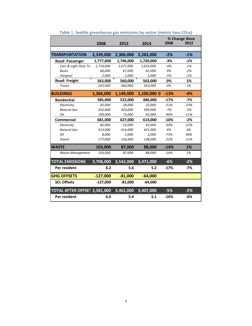|                              | 2008       | 2012      | 2014        | % Change Since<br>2008<br>2012 |        |
|------------------------------|------------|-----------|-------------|--------------------------------|--------|
|                              |            |           |             |                                |        |
| <b>TRANSPORTATION</b>        | 2,339,000  | 2,306,000 | 2,283,000   | $-2%$                          | $-1%$  |
| <b>Road: Passenger</b>       | 1,777,000  | 1,746,000 | 1,720,000   | $-3%$                          | $-1%$  |
| Cars & Light Duty Tru        | 1,714,000  | 1,677,000 | 1,653,000   | $-4%$                          | $-1%$  |
| <b>Buses</b>                 | 60,000     | 67,000    | 65,000      | 9%                             | $-2%$  |
| Vanpool                      | 2,000      | 2,000     | 2,000       | $-5%$                          | $-1%$  |
| Road: Freight                | 563,000    | 560,000   | 563,000     | 0%                             | 1%     |
| <b>Trucks</b>                | 563,000    | 560,000   | 563,000     | 0%                             | 1%     |
| <b>BUILDINGS</b>             | 1,266,000  | 1,149,000 | 1,100,000 0 | $-13%$                         | $-4%$  |
| <b>Residential</b>           | 585,000    | 522,000   | 486,000     | $-17%$                         | $-7%$  |
| Electricity                  | 45,000     | 28,000    | 22,000      | $-51%$                         | $-23%$ |
| <b>Natural Gas</b>           | 432,000    | 420,000   | 399,000     | $-7%$                          | $-5%$  |
| Oil                          | 109,000    | 73,000    | 65,000      | $-40%$                         | $-11%$ |
| <b>Commercial</b>            | 681,000    | 627,000   | 614,000     | $-10%$                         | $-2%$  |
| Electricity                  | 82,000     | 53,000    | 42.000      | $-49%$                         | $-22%$ |
| <b>Natural Gas</b>           | 413,000    | 416,000   | 431,000     | 4%                             | 4%     |
| Oil                          | 8,000      | 2,000     | 2,000       | $-73%$                         | 40%    |
| <b>Steam</b>                 | 177,000    | 156,000   | 138,000     | $-22%$                         | $-11%$ |
| <b>WASTE</b>                 | 103,000    | 87,000    | 88,000      | $-14%$                         | 1%     |
| Waste Management             | 103,000    | 87,000    | 88,000      | $-14%$                         | 1%     |
| <b>TOTAL EMISSIONS</b>       | 3,708,000  | 3,542,000 | 3,471,000   | $-6%$                          | $-2%$  |
| Per resident                 | 6.2        | 5.6       | 5.2         | $-17%$                         | -7%    |
| <b>GHG OFFSETS</b>           | $-127,000$ | $-81,000$ | $-64,000$   |                                |        |
| <b>SCL Offsets</b>           | $-127,000$ | $-81,000$ | $-64,000$   |                                |        |
| TOTAL AFTER OFFSE1 3,581,000 |            | 3,461,000 | 3,407,000   | $-5%$                          | $-2%$  |
| Per resident                 | 6.0        | 5.4       | 5.1         | $-16%$                         | $-6%$  |

# **Table** 1**. Seattle greenhouse gas emissions by sector (metric tons CO2e)**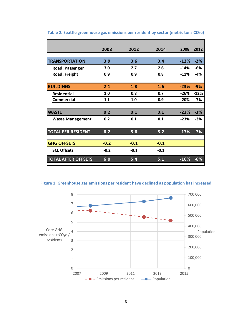|                            | 2008   | 2012   | 2014   | 2008   | 2012   |
|----------------------------|--------|--------|--------|--------|--------|
|                            |        |        |        |        |        |
| <b>TRANSPORTATION</b>      | 3.9    | 3.6    | 3.4    | $-12%$ | $-2%$  |
| <b>Road: Passenger</b>     | 3.0    | 2.7    | 2.6    | $-14%$ | -6%    |
| <b>Road: Freight</b>       | 0.9    | 0.9    | 0.8    | $-11%$ | $-4%$  |
|                            |        |        |        |        |        |
| <b>BUILDINGS</b>           | 2.1    | 1.8    | 1.6    | $-23%$ | $-9%$  |
| <b>Residential</b>         | 1.0    | 0.8    | 0.7    | $-26%$ | $-12%$ |
| <b>Commercial</b>          | 1.1    | 1.0    | 0.9    | $-20%$ | -7%    |
|                            |        |        |        |        |        |
| <b>WASTE</b>               | 0.2    | 0.1    | 0.1    | $-23%$ | $-3%$  |
| <b>Waste Management</b>    | 0.2    | 0.1    | 0.1    | $-23%$ | -3%    |
|                            |        |        |        |        |        |
| <b>TOTAL PER RESIDENT</b>  | 6.2    | 5.6    | 5.2    | $-17%$ | $-7%$  |
|                            |        |        |        |        |        |
| <b>GHG OFFSETS</b>         | $-0.2$ | $-0.1$ | $-0.1$ |        |        |
| <b>SCL Offsets</b>         | $-0.2$ | $-0.1$ | $-0.1$ |        |        |
| <b>TOTAL AFTER OFFSETS</b> | 6.0    | 5.4    | 5.1    | $-16%$ | $-6%$  |

**Table 2. Seattle greenhouse gas emissions per resident by sector (metric tons CO2e)**

**Figure 1. Greenhouse gas emissions per resident have declined as population has increased**

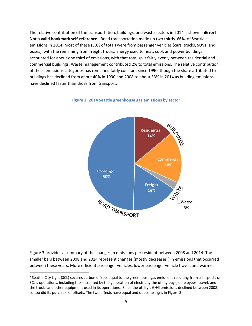The relative contribution of the transportation, buildings, and waste sectors in 2014 is shown in**Error! Not a valid bookmark self‐reference.**. Road transportation made up two thirds, 66%, of Seattle's emissions in 2014. Most of these (50% of total) were from passenger vehicles (cars, trucks, SUVs, and buses), with the remaining from freight trucks. Energy used to heat, cool, and power buildings accounted for about one third of emissions, with that total split fairly evenly between residential and commercial buildings. Waste management contributed 2% to total emissions. The relative contribution of these emissions categories has remained fairly constant since 1990, though the share attributed to buildings has declined from about 40% in 1990 and 2008 to about 33% in 2014 as building emissions have declined faster than those from transport.



**Figure 2. 2014 Seattle greenhouse gas emissions by sector**

Figure 3 provides a summary of the changes in emissions per resident between 2008 and 2014. The smaller bars between 2008 and 2014 represent changes (mostly decreases<sup>5</sup>) in emissions that occurred between these years. More efficient passenger vehicles, lower passenger vehicle travel, and warmer

<sup>&</sup>lt;sup>5</sup> Seattle City Light (SCL) secures carbon offsets equal to the greenhouse gas emissions resulting from all aspects of SCL's operations, including those created by the generation of electricity the utility buys, employees' travel, and the trucks and other equipment used in its operations. Since the utility's GHG emissions declined between 2008, so too did its purchase of offsets. The two effects have equal and opposite signs in Figure 3.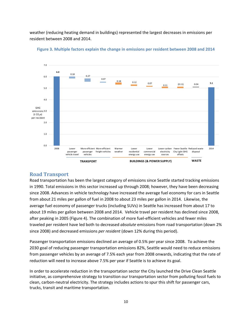weather (reducing heating demand in buildings) represented the largest decreases in emissions per resident between 2008 and 2014.





### **Road Transport**

Road transportation has been the largest category of emissions since Seattle started tracking emissions in 1990. Total emissions in this sector increased up through 2008; however, they have been decreasing since 2008. Advances in vehicle technology have increased the average fuel economy for cars in Seattle from about 21 miles per gallon of fuel in 2008 to about 23 miles per gallon in 2014. Likewise, the average fuel economy of passenger trucks (including SUVs) in Seattle has increased from about 17 to about 19 miles per gallon between 2008 and 2014. Vehicle travel per resident has declined since 2008, after peaking in 2005 (Figure 4). The combination of more fuel‐efficient vehicles and fewer miles traveled per resident have led both to decreased *absolute* emissions from road transportation (down 2% since 2008) and decreased emissions *per resident* (down 12% during this period).

Passenger transportation emissions declined an average of 0.5% per year since 2008. To achieve the 2030 goal of reducing passenger transportation emissions 82%, Seattle would need to reduce emissions from passenger vehicles by an average of 7.5% each year from 2008 onwards, indicating that the rate of reduction will need to increase above 7.5% per year if Seattle is to achieve its goal.

In order to accelerate reduction in the transportation sector the City launched the Drive Clean Seattle initiative, as comprehensive strategy to transition our transportation sector from polluting fossil fuels to clean, carbon‐neutral electricity. The strategy includes actions to spur this shift for passenger cars, trucks, transit and maritime transportation.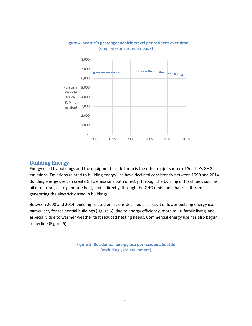

### **Figure 4. Seattle's passenger vehicle travel per resident over time** (origin‐destination‐pair basis)

# **Building Energy**

Energy used by buildings and the equipment inside them is the other major source of Seattle's GHG emissions. Emissions related to building energy use have declined consistently between 1990 and 2014. Building energy use can create GHG emissions both directly, through the burning of fossil fuels such as oil or natural gas to generate heat, and indirectly, through the GHG emissions that result from generating the electricity used in buildings.

Between 2008 and 2014, building‐related emissions declined as a result of lower building energy use, particularly for residential buildings (Figure 5), due to energy efficiency, more multi-family living, and especially due to warmer weather that reduced heating needs. Commercial energy use has also begun to decline (Figure 6).

> **Figure 5. Residential energy use per resident, Seattle** (excluding yard equipment)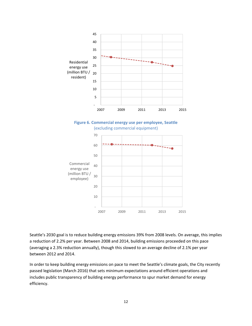

Seattle's 2030 goal is to reduce building energy emissions 39% from 2008 levels. On average, this implies a reduction of 2.2% per year. Between 2008 and 2014, building emissions proceeded on this pace (averaging a 2.3% reduction annually), though this slowed to an average decline of 2.1% per year between 2012 and 2014.

In order to keep building energy emissions on pace to meet the Seattle's climate goals, the City recently passed legislation (March 2016) that sets minimum expectations around efficient operations and includes public transparency of building energy performance to spur market demand for energy efficiency.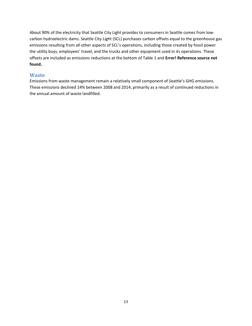About 90% of the electricity that Seattle City Light provides to consumers in Seattle comes from low‐ carbon hydroelectric dams. Seattle City Light (SCL) purchases carbon offsets equal to the greenhouse gas emissions resulting from all other aspects of SCL's operations, including those created by fossil power the utility buys, employees' travel, and the trucks and other equipment used in its operations. These offsets are included as emissions reductions at the bottom of Table 1 and **Error! Reference source not found.**.

### **Waste**

Emissions from waste management remain a relatively small component of Seattle's GHG emissions. These emissions declined 14% between 2008 and 2014, primarily as a result of continued reductions in the annual amount of waste landfilled.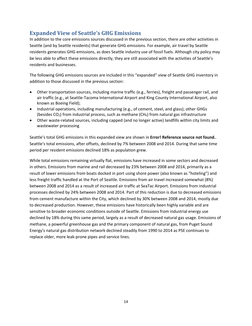# **Expanded View of Seattle's GHG Emissions**

In addition to the core emissions sources discussed in the previous section, there are other activities in Seattle (and by Seattle residents) that generate GHG emissions. For example, air travel by Seattle residents generates GHG emissions, as does Seattle industry use of fossil fuels. Although city policy may be less able to affect these emissions directly, they are still associated with the activities of Seattle's residents and businesses.

The following GHG emissions sources are included in this "expanded" view of Seattle GHG inventory in addition to those discussed in the previous section:

- Other transportation sources, including marine traffic (e.g., ferries), freight and passenger rail, and air traffic (e.g., at Seattle‐Tacoma International Airport and King County International Airport, also known as Boeing Field);
- Industrial operations, including manufacturing (e.g., of cement, steel, and glass); other GHGs (besides  $CO<sub>2</sub>$ ) from industrial process, such as methane (CH<sub>4</sub>) from natural gas infrastructure
- Other waste-related sources, including capped (and no longer active) landfills within city limits and wastewater processing

Seattle's total GHG emissions in this expanded view are shown in **Error! Reference source not found.**. Seattle's total emissions, after offsets, declined by 7% between 2008 and 2014. During that same time period per resident emissions declined 18% as population grew.

While total emissions remaining virtually flat, emissions have increased in some sectors and decreased in others. Emissions from marine and rail decreased by 23% between 2008 and 2014, primarily as a result of lower emissions from boats docked in port using shore power (also known as "hoteling") and less freight traffic handled at the Port of Seattle. Emissions from air travel increased somewhat (8%) between 2008 and 2014 as a result of increased air traffic at SeaTac Airport. Emissions from industrial processes declined by 24% between 2008 and 2014. Part of this reduction is due to decreased emissions from cement manufacture within the City, which declined by 30% between 2008 and 2014, mostly due to decreased production. However, these emissions have historically been highly variable and are sensitive to broader economic conditions outside of Seattle. Emissions from industrial energy use declined by 18% during this same period, largely as a result of decreased natural gas usage. Emissions of methane, a powerful greenhouse gas and the primary component of natural gas, from Puget Sound Energy's natural gas distribution network declined steadily from 1990 to 2014 as PSE continues to replace older, more leak‐prone pipes and service lines.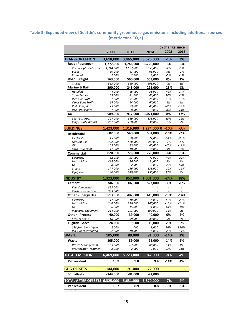# **Table 3. Expanded view of Seattle's community greenhouse gas emissions including additional sources (metric tons CO2e)**

|                                             |                    |                          | 2014              | % change since<br>2008 | 2012            |
|---------------------------------------------|--------------------|--------------------------|-------------------|------------------------|-----------------|
|                                             | 2008               | 2012                     |                   |                        |                 |
| <b>TRANSPORTATION</b>                       | 3,618,000          | 3,465,000                | 3,576,000         | -1%                    | 3%              |
| Road: Passenger                             | 1,777,000          | 1,746,000                | 1,720,000         | -3%                    | -1%             |
| Cars & Light Duty Truck                     | 1,714,000          | 1,677,000                | 1,653,000         | $-4%$                  | $-1%$           |
| <b>Buses</b><br>Vanpool                     | 60,000<br>2,000    | 67,000<br>2,000          | 65,000<br>2,000   | 9%<br>$-5%$            | $-2%$<br>$-1%$  |
| Road: Freight                               | 563,000            | 560,000                  | 563,000           | 0%                     | 1%              |
| <b>Trucks</b>                               | 563,000            | 560,000                  | 563,000           | 0%                     | 1%              |
| <b>Marine &amp; Rail</b>                    | 290,000            | 243,000                  | 222,000           | $-23%$                 | -8%             |
| Hotelling                                   | 74,000             | 46,000                   | 38,000            | $-49%$                 | $-17%$          |
| <b>State Ferries</b>                        | 35,000             | 41,000                   | 40,000            | 14%                    | $-2%$           |
| <b>Pleasure Craft</b>                       | 31,000             | 31,000                   | 25,000            | $-19%$                 | $-18%$          |
| <b>Other Boat Traffic</b><br>Rail - Freight | 64,000<br>79,000   | 64,000<br>53,000         | 67,000<br>43,000  | 4%<br>$-46%$           | 4%<br>$-19%$    |
| Rail - Passenger                            | 7,000              | 8,000                    | 9,000             | 36%                    | 13%             |
| Air                                         | 989,000            | 917,000                  | 1,071,000         | 8%                     | 17%             |
| Sea-Tac Airport                             | 727,000            | 689,000                  | 833,000           | 15%                    | 21%             |
| <b>King County Airport</b>                  | 262,000            | 228,000                  | 238,000           | $-9%$                  | 5%              |
|                                             |                    |                          |                   |                        |                 |
| <b>BUILDINGS</b>                            | 1,423,000          | 1,316,000                | 1,274,000 0       | -10%                   | -3%             |
| Residential                                 | 602,000            | 540,000                  | 504,000           | -16%                   | -7%             |
| Electricity                                 | 45,000             | 28,000                   | 22,000            | $-51%$                 | $-23%$          |
| <b>Natural Gas</b><br>Oil                   | 432,000<br>109,000 | 420,000<br>73,000        | 399,000<br>65,000 | $-7%$<br>$-40%$        | $-5%$<br>$-11%$ |
| Yard Equipment                              | 17,000             | 18,000                   | 18,000            | 3%                     | $-3%$           |
| Commercial                                  | 820,000            | 776,000                  | 770,000           | -6%                    | -1%             |
| Electricity                                 | 82,000             | 53,000                   | 42,000            | $-49%$                 | $-22%$          |
| <b>Natural Gas</b>                          | 413,000            | 416,000                  | 431,000           | 4%                     | 4%              |
| Oil                                         | 8,000              | 2,000                    | 2,000             | $-73%$                 | 40%             |
| <b>Steam</b>                                | 177,000            | 156,000                  | 138,000           | $-22%$                 | $-11%$          |
| Equipment                                   | 140,000            | 149,000                  | 156,000           | 12%                    | 5%              |
| <b>INDUSTRY</b>                             | 1,323,000          | 852,000                  | 1,001,000         | -24%                   | 18%             |
| Cement                                      | 746,000            | 307,000                  | 523,000           | -30%                   | 70%             |
| <b>Fuel Combustion</b>                      | 353,000            |                          |                   | ä,                     |                 |
| <b>Clinker Calcination</b>                  | 393,000            |                          |                   |                        |                 |
| <b>Other - Energy Use</b>                   | 513,000            | 487,000                  | 419,000           | -18%                   | -14%            |
| Electricity                                 | 17,000             | 10,000                   | 8,000             | $-52%$                 | $-20%$          |
| <b>Natural Gas</b>                          | 246,000            | 270,000                  | 207,000           | $-16%$                 | $-24%$          |
| Oil<br><b>Industrial Equipment</b>          | 36,000<br>214,000  | <i>15,000</i><br>191,000 | 14,000<br>190,000 | $-61%$<br>$-11%$       | $-8%$<br>0%     |
| <b>Other - Process</b>                      | 40,000             | 39,000                   | 40,000            | 0%                     | 2%              |
| Steel & Glass                               | 40,000             | 39,000                   | 40,000            | 0%                     | 2%              |
| <b>Fugitive Gases</b>                       | 24,000             | 19,000                   | 19,000            | $-20%$                 | 0%              |
| SF6 from Switchgear                         | 2,000              | 1,000                    | 3,000             | 50%                    | 310%            |
| <b>PSE Gas Distribution</b>                 | 22,000             | 18,000                   | 16,000            | $-26%$                 | $-11%$          |
| WASTE                                       | 105,000            | 89,000                   | 91,000            | -14%                   | 2%              |
| Waste                                       | 105,000            | 89,000                   | 91,000            | -14%                   | 2%              |
| Waste Management                            | 103,000            | 87,000                   | 88,000            | $-14%$                 | 1%              |
| <b>Wastewater Treatment</b>                 | 2,000              | 2,000                    | 2,000             | 23%                    | 23%             |
| <b>TOTAL EMISSIONS</b>                      | 6,469,000          | 5,723,000                | 5,942,000         | $-8%$                  | 4%              |
| Per resident                                | 10.9               | 9.0                      | 9.4               | $-14%$                 | 4%              |
| <b>GHG OFFSETS</b>                          | $-144,000$         | $-91,000$                | $-72,000$         |                        |                 |
| <b>SCL offsets</b>                          | -144,000           | $-91,000$                | -72,000           |                        |                 |
| TOTAL AFTER OFFSETS 6,325,000               |                    | 5,631,000                | 5,870,000         | $-7%$                  | 4%              |
| Per resident                                | 10.7               | 8.9                      | 8.8               | -18%                   | -1%             |
|                                             |                    |                          |                   |                        |                 |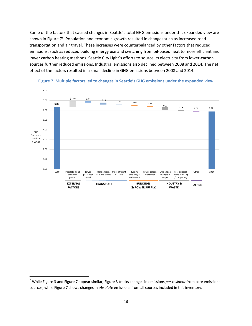Some of the factors that caused changes in Seattle's total GHG emissions under this expanded view are shown in Figure  $7<sup>6</sup>$ . Population and economic growth resulted in changes such as increased road transportation and air travel. These increases were counterbalanced by other factors that reduced emissions, such as reduced building energy use and switching from oil‐based heat to more efficient and lower carbon heating methods. Seattle City Light's efforts to source its electricity from lower‐carbon sources further reduced emissions. Industrial emissions also declined between 2008 and 2014. The net effect of the factors resulted in a small decline in GHG emissions between 2008 and 2014.





<sup>6</sup> While Figure 3 and Figure 7 appear similar, Figure 3 tracks changes in emissions *per resident* from core emissions sources, while Figure 7 shows changes in *absolute* emissions from all sources included in this inventory.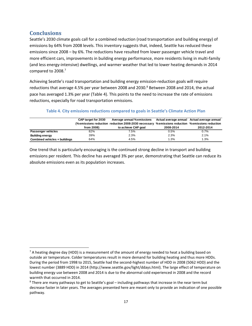# **Conclusions**

Seattle's 2030 climate goals call for a combined reduction (road transportation and building energy) of emissions by 64% from 2008 levels. This inventory suggests that, indeed, Seattle has reduced these emissions since 2008 – by 6%. The reductions have resulted from lower passenger vehicle travel and more efficient cars, improvements in building energy performance, more residents living in multi-family (and less energy‐intensive) dwellings, and warmer weather that led to lower heating demands in 2014 compared to 2008.<sup>7</sup>

Achieving Seattle's road transportation and building energy emission‐reduction goals will require reductions that average 4.5% per year between 2008 and 2030.<sup>8</sup> Between 2008 and 2014, the actual pace has averaged 1.3% per year (Table 4). This points to the need to increase the rate of emissions reductions, especially for road transportation emissions.

# **Table 4. City emissions reductions compared to goals in Seattle's Climate Action Plan**

|                               | CAP target for 2030<br>from 2008) | Average annual %emissions<br>(%emissions reduction reduction 2008-2030 necessary<br>to achieve CAP goal | 2008-2014 | Actual average annual Actual average annual<br>%emissions reduction %emissions reduction<br>2012-2014 |
|-------------------------------|-----------------------------------|---------------------------------------------------------------------------------------------------------|-----------|-------------------------------------------------------------------------------------------------------|
| Passenger vehicles            | 82%                               | 7.5%                                                                                                    | 0.5%      | 0.7%                                                                                                  |
| <b>Building energy</b>        | 39%                               | 2.3%                                                                                                    | 2.3%      | 2.1%                                                                                                  |
| Combined vehicles + buildings | 64%                               | 4.5%                                                                                                    | 1.3%      | 1.3%                                                                                                  |

One trend that is particularly encouraging is the continued strong decline in transport and building emissions per resident. This decline has averaged 3% per year, demonstrating that Seattle can reduce its absolute emissions even as its population increases.

  $7$  A heating degree day (HDD) is a measurement of the amount of energy needed to heat a building based on outside air temperature. Colder temperatures result in more demand for building heating and thus more HDDs. During the period from 1998 to 2015, Seattle had the second-highest number of HDD in 2008 (5062 HDD) and the lowest number (3889 HDD) in 2014 (http://www.seattle.gov/light/ddays.html). The large effect of temperature on building energy use between 2008 and 2014 is due to the abnormal cold experienced in 2008 and the record warmth that occurred in 2014.

<sup>8</sup> There are many pathways to get to Seattle's goal – including pathways that increase in the near term but decrease faster in later years. The averages presented here are meant only to provide an indication of one possible pathway.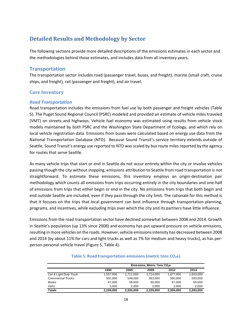# **Detailed Results and Methodology by Sector**

The following sections provide more detailed descriptions of the emissions estimates in each sector and the methodologies behind those estimates, and includes data from all inventory years.

# **Transportation**

The transportation sector includes road (passenger travel, buses, and freight), marine (small craft, cruise ships, and freight), rail (passenger and freight), and air travel.

# **Core Inventory**

### *Road Transportation*

Road transportation includes the emissions from fuel use by both passenger and freight vehicles (Table 5). The Puget Sound Regional Council (PSRC) modeled and provided an estimate of vehicle miles traveled (VMT) on streets and highways. Vehicle fuel economy was estimated using results from vehicle stock models maintained by both PSRC and the Washington State Department of Ecology, and which rely on local vehicle registration data. Emissions from buses were calculated based on energy use data from the National Transportation Database (NTD). Because Sound Transit's service territory extends outside of Seattle, Sound Transit's energy use reported to NTD was scaled by bus route miles reported by the agency for routes that serve Seattle.

As many vehicle trips that start or end in Seattle do not occur entirely within the city or involve vehicles passing though the city without stopping, emissions attribution to Seattle from road transportation is not straightforward. To estimate these emissions, this inventory employs an origin‐destination pair methodology which counts all emissions from trips occurring entirely in the city boundaries and one‐half of emissions from trips that either begin or end in the city. No emissions from trips that both begin and end outside Seattle are included, even if they pass through the city limit. The rationale for this method is that it focuses on the trips that local government can best influence through transportation planning, programs, and incentives, while excluding trips over which the city and its partners have little influence.

Emissions from the road transportation sector have declined somewhat between 2008 and 2014. Growth in Seattle's population (up 13% since 2008) and economy has put upward pressure on vehicle emissions, resulting in more vehicles on the roads. However, vehicle emissionsintensity has decreased between 2008 and 2014 (by about 11% for cars and light trucks as well as 7% for medium and heavy trucks), as has per‐ person personal vehicle travel (Figure 5, Table 4).

|                          | Emissions, Metric Tons CO <sub>2</sub> e |           |           |           |           |
|--------------------------|------------------------------------------|-----------|-----------|-----------|-----------|
|                          | 1990                                     | 2005      | 2008      | 2012      | 2014      |
| Car & Light Duty Truck   | 1.557.000                                | 1.711.000 | 1.714.000 | 1.677.000 | 1.653.000 |
| <b>Commercial Trucks</b> | 502.000                                  | 549.000   | 563.000   | 560.000   | 563.000   |
| Buses                    | 47.000                                   | 58.000    | 60.000    | 67.000    | 65.000    |
| Vans                     | 2.000                                    | 2.000     | 2.000     | 2.000     | 2.000     |
| <b>Totals</b>            | 2,108,000                                | 2,320,000 | 2,339,000 | 2,306,000 | 2.283.000 |

#### **Table 5. Road transportation emissions (metric tons CO2e)**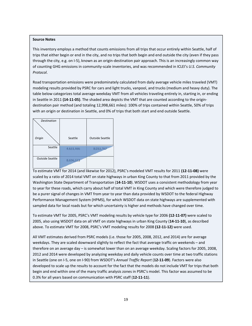This inventory employs a method that counts emissions from all trips that occur entirely within Seattle, half of trips that either begin or end in the city, and no trips that both begin and end outside the city (even if they pass through the city, e.g. on I‐5), known as an origin‐destination pair approach. This is an increasingly common way of counting GHG emissions in community‐scale inventories, and was recommended in ICLEI's *U.S. Community Protocol*.

Road transportation emissions were predominately calculated from daily average vehicle miles traveled (VMT) modeling results provided by PSRC for cars and light trucks, vanpool, and trucks (medium and heavy duty). The table below categorizes total average weekday VMT from all vehicles traveling entirely in, starting in, or ending in Seattle in 2011 **(14‐11‐05)**. The shaded area depicts the VMT that are counted according to the origin‐ destination pair method (and totaling 12,998,661 miles): 100% of trips contained within Seattle, 50% of trips with an origin or destination in Seattle, and 0% of trips that both start and end outside Seattle.

| <b>Destination</b>     |           |                        |
|------------------------|-----------|------------------------|
| Origin                 | Seattle   | <b>Outside Seattle</b> |
| Seattle                | 4,633,466 | 8,033,767              |
| <b>Outside Seattle</b> | 8,696,623 |                        |

To estimate VMT for 2014 (and likewise for 2012), PSRC's modeled VMT results for 2011 **(12‐11‐08)** were scaled by a ratio of 2014 total VMT on state highways in urban King County to that from 2011 provided by the Washington State Department of Transportation (**14‐11‐10**). WSDOT uses a consistent methodology from year to year for these roads, which carry about half of total VMT in King County and which were therefore judged to be a purer signal of changes in VMT from year to year than data provided by WSDOT to the federal Highway Performance Management System (HPMS), for which WSDOT data on state highways are supplemented with sampled data for local roads but for which uncertainty is higher and methods have changed over time.

To estimate VMT for 2005, PSRC's VMT modeling results by vehicle type for 2006 **(12‐11‐07)** were scaled to 2005, also using WSDOT data on all VMT on state highways in urban King County (**14‐11‐10**), as described above. To estimate VMT for 2008, PSRC's VMT modeling results for 2008 **(12‐11‐12)** were used.

All VMT estimates derived from PSRC models (i.e. those for 2005, 2008, 2012, and 2014) are for average weekdays. They are scaled downward slightly to reflect the fact that average traffic on weekends – and therefore on an average day – is somewhat lower than on an average weekday. Scaling factors for 2005, 2008, 2012 and 2014 were developed by analyzing weekday and daily vehicle counts over time at two traffic stations in Seattle (one on I‐5, one on I‐90) from WSDOT's *Annual Traffic Report* (**12‐11‐09**). Factors were also developed to scale up the results to account for the fact that the models do not include VMT for trips that both begin and end within one of the many traffic analysis zones in PSRC's model. This factor was assumed to be 0.3% for all years based on communication with PSRC staff (**12‐11‐11**).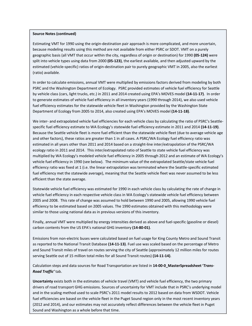#### **Source Notes (continued)**

Estimating VMT for 1990 using the origin-destination pair approach is more complicated, and more uncertain, because modeling results using this method are not available from either PSRC or SDOT. VMT on a purely geographic basis (all VMT that occur within the city, regardless of origin or destination) for 1990 **(05‐124)** were split into vehicle types using data from 2000 **(05‐123)**, the earliest available, and then adjusted upward by the estimated (vehicle‐specific) ratios of origin‐destination pair to purely geographic VMT in 2005, also the earliest (ratio) available.

In order to calculate emissions, annual VMT were multiplied by emissions factors derived from modeling by both PSRC and the Washington Department of Ecology. PSRC provided estimates of vehicle fuel efficiency for Seattle by vehicle class (cars, light trucks, etc.) in 2011 and 2014 created using EPA's MOVES model **(14‐11‐17)**. In order to generate estimates of vehicle fuel efficiency in all inventory years (1990 through 2014), we also used vehicle fuel efficiency estimates for the statewide vehicle fleet in Washington provided by the Washington State Department of Ecology from 2005 to 2014, also created using EPA's MOVES model **(14‐11‐18)**.

We inter- and extrapolated vehicle fuel efficiencies for each vehicle class by calculating the ratio of PSRC's Seattlespecific fuel efficiency estimate to WA Ecology's statewide fuel efficiency estimate in 2011 and 2014 **(14‐11‐19)**. Because the Seattle vehicle fleet is more fuel efficient than the statewide vehicle fleet (due to average vehicle age and other factors), these ratios are greater than 1 in all cases. A PSRC/WA Ecology fuel efficiency ratio was estimated in all years other than 2011 and 2014 based on a straight‐line inter/extrapolation of the PSRC/WA ecology ratio in 2011 and 2014. This inter/extrapolated ratio of Seattle to state vehicle fuel efficiency was multiplied by WA Ecology's modeled vehicle fuel efficiency in 2005 through 2012 and an estimate of WA Ecology's vehicle fuel efficiency in 1990 (see below). The minimum value of the extrapolated Seattle/state vehicle fuel efficiency ratio was fixed at 1 (i.e. the linear extrapolation was terminated where the Seattle‐specific estimated fuel efficiency met the statewide average), meaning that the Seattle vehicle fleet was never assumed to be less efficient than the state average.

Statewide vehicle fuel efficiency was estimated for 1990 in each vehicle class by calculating the rate of change in vehicle fuel efficiency in each respective vehicle class in WA Ecology's statewide vehicle fuel efficiency between 2005 and 2008. This rate of change was assumed to hold between 1990 and 2005, allowing 1990 vehicle fuel efficiency to be estimated based on 2005 values. The 1990 estimates obtained with this methodology were similar to those using national data as in previous versions of this inventory.

Finally, annual VMT were multiplied by energy intensities derived as above and fuel‐specific (gasoline or diesel) carbon contents from the US EPA's national GHG inventory **(14‐80‐01)**.

Emissions from non‐electric buses were calculated based on fuel usage for King County Metro and Sound Transit as reported to the National Transit Database **(14‐11‐13)**. Fuel use was scaled based on the percentage of Metro and Sound Transit miles of travel on routes serving the city of Seattle (approximately 12 million miles for routes serving Seattle out of 15 million total miles for all Sound Transit routes) **(14‐11‐14)**.

Calculation steps and data sources for Road Transportation are listed in **14‐00‐0\_MasterSpreadsheet '***Trans‐ Road Traffic'* tab.

fuel efficiencies are based on the vehicle fleet in the Puget Sound region only in the most recent inventory years **Uncertainty** exists both in the estimates of vehicle travel (VMT) and vehicle fuel efficiency, the two primary drivers of road transport GHG emissions. Sources of uncertainty for VMT include that in PSRC's underlying model and in the scaling method used to scale PSRC's 2011 model results to 2012 based on data from WSDOT. Vehicle (2012 and 2014), and our estimates may not accurately reflect differences between the vehicle fleet in Puget Sound and Washington as a whole before that time.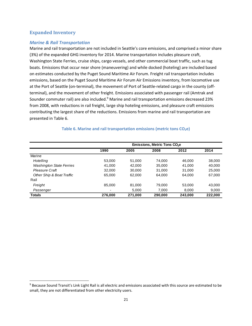### **Expanded Inventory**

### *Marine & Rail Transportation*

Marine and rail transportation are not included in Seattle's core emissions, and comprised a minor share (3%) of the expanded GHG inventory for 2014. Marine transportation includes pleasure craft, Washington State Ferries, cruise ships, cargo vessels, and other commercial boat traffic, such as tug boats. Emissions that occur near shore (maneuvering) and while docked (hoteling) are included based on estimates conducted by the Puget Sound Maritime Air Forum. Freight rail transportation includes emissions, based on the Puget Sound Maritime Air Forum Air Emissions inventory, from locomotive use at the Port of Seattle (on-terminal), the movement of Port of Seattle-related cargo in the county (offterminal), and the movement of other freight. Emissions associated with passenger rail (Amtrak and Sounder commuter rail) are also included.<sup>9</sup> Marine and rail transportation emissions decreased 23% from 2008, with reductions in rail freight, large ship hoteling emissions, and pleasure craft emissions contributing the largest share of the reductions. Emissions from marine and rail transportation are presented in Table 6.

|                                 | Emissions, Metric Tons CO <sub>2</sub> e |         |         |         |         |
|---------------------------------|------------------------------------------|---------|---------|---------|---------|
|                                 | 1990                                     | 2005    | 2008    | 2012    | 2014    |
| Marine                          |                                          |         |         |         |         |
| Hotelling                       | 53,000                                   | 51,000  | 74.000  | 46.000  | 38,000  |
| <b>Washington State Ferries</b> | 41.000                                   | 42.000  | 35,000  | 41.000  | 40,000  |
| Pleasure Craft                  | 32,000                                   | 30.000  | 31,000  | 31,000  | 25,000  |
| Other Ship & Boat Traffic       | 65.000                                   | 62,000  | 64.000  | 64.000  | 67,000  |
| Rail                            |                                          |         |         |         |         |
| Freight                         | 85,000                                   | 81.000  | 79.000  | 53,000  | 43,000  |
| Passenger                       | ٠                                        | 5,000   | 7.000   | 8,000   | 9,000   |
| <b>Totals</b>                   | 276,000                                  | 271,000 | 290,000 | 243,000 | 222,000 |

#### **Table 6. Marine and rail transportation emissions (metric tons CO2e)**

<sup>&</sup>lt;sup>9</sup> Because Sound Transit's Link Light Rail is all electric and emissions associated with this source are estimated to be small, they are not differentiated from other electricity users.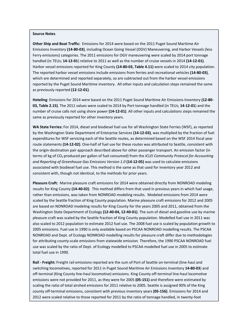**Other Ship and Boat Traffic:** Emissions for 2014 were based on the 2011 Puget Sound Maritime Air Emissions Inventory **(14‐80‐03)**, including Ocean Going Vessel (OGV) Maneuvering, and Harbor Vessels (less Ferry emissions) categories. The 2011 emissions for OGV maneuvering were scaled by 2014 port tonnage handled (in TEUs; **14‐12‐01**) relative to 2011 as well as the number of cruise vessels in 2014 **(14‐12‐01)**. Harbor vessel emissions reported for King County **(14‐80‐03, Table 4.11)** were scaled to 2014 city population. The reported harbor vessel emissions include emissions from ferries and recreational vehicles **(14‐80‐03)**, which are determined and reported separately, so are subtracted out from the harbor vessel emissions reported by the Puget Sound Maritime inventory. All other inputs and calculation steps remained the same as previously reported **(12‐12‐01)**.

**Hoteling**: Emissions for 2014 were based on the 2011 Puget Sound Maritime Air Emissions Inventory **(12‐80‐ 03, Table 2.15)**. The 2011 values were scaled to 2014 by Port tonnage handled (in TEUs; **14‐12‐01**) and the number of cruise calls not using shore power **(14‐12‐01)**. All other inputs and calculations steps remained the same as previously reported for other inventory years.

**WA State Ferries:** For 2014, diesel and biodiesel fuel use for all Washington State Ferries (WSF), as reported by the Washington State Department of Enterprise Services **(14‐12‐03)**, was multiplied by the fraction of fuel expenditures for WSF servicing each of the Seattle routes, as determined based on the WSF 2014 fiscal year route statements **(14‐12‐02)**. One‐half of fuel use for these routes was attributed to Seattle, consistent with the origin‐destination pair approach described above for other passenger transport. An emission factor (in terms of kg of CO2 produced per gallon of fuel consumed) from the *ICLEI Community Protocol for Accounting and Reporting of Greenhouse Gas Emissions Version 1.0* **(14‐12‐05)** was used to calculate emissions associated with biodiesel fuel use. This method is the same as that used for inventory year 2012 and consistent with, though not identical, to the methods for prior years.

**Pleasure Craft:** Marine pleasure craft emissions for 2014 were obtained directly from NONROAD modeling results for King County **(14‐40‐02)**. This method differs from that used in previous years in which fuel usage, rather than emissions, was taken from NONROAD modeling results. Modeled emissions from 2014 were scaled by the Seattle fraction of King County population. Marine pleasure craft emissions for 2012 and 2005 are based on NONROAD modeling results for King County for the years 2005 and 2011, obtained from the Washington State Department of Ecology **(12‐40‐04, 12‐40‐01)**. The sum of diesel and gasoline use by marine pleasure craft was scaled by the Seattle fraction of King County population. Modelled fuel use in 2011 was also scaled to 2012 population to estimate 2012 fuel use. The 2008 fuel use is scaled by population growth to 2005 emissions. Fuel use in 1990 is only available based on PSCAA NONROAD modelling results. The PSCAA NONROAD and Dept. of Ecology NONROAD modelling results for pleasure craft differ due to methodologies for attributing county‐scale emissions from statewide emission. Therefore, the 1990 PSCAA NONROAD fuel use was scaled by the ratio of Dept. of Ecology modelled to PSCAA modelled fuel use in 2005 to estimate total fuel use in 1990.

22 2012 were scaled relative to those reported for 2011 by the ratio of tonnage handled, in twenty‐foot**Rail ‐ Freight:** Freight rail emissions reported are the sum of Port of Seattle on‐terminal (line‐haul and switching locomotives, reported for 2011 in Puget Sound Maritime Air Emissions Inventory **14‐80‐03**) and off-terminal (King County line-haul locomotive) emissions. King County off-terminal line-haul locomotive emissions were not provided for 2011, as they were for 2005 **(05‐151)** and therefore were estimated by scaling the ratio of total airshed emissions for 2011 relative to 2005. Seattle is assigned 90% of the King county off‐terminal emissions, consistent with previous inventory years **(05‐156)**. Emissions for 2014 and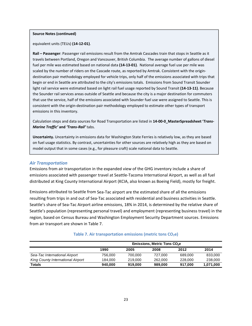#### **Source Notes (continued)**

equivalent units (TEUs) **(14‐12‐01)**.

**Rail – Passenger**: Passenger rail emissions result from the Amtrak Cascades train that stops in Seattle as it travels between Portland, Oregon and Vancouver, British Columbia. The average number of gallons of diesel fuel per mile was estimated based on national data **(14‐13‐01)**. National average fuel use per mile was scaled by the number of riders on the Cascade route, as reported by Amtrak. Consistent with the origin‐ destination pair methodology employed for vehicle trips, only half of the emissions associated with trips that begin or end in Seattle are attributed to the city's emissions totals. Emissions from Sound Transit Sounder light rail service were estimated based on light rail fuel usage reported by Sound Transit **(14‐13‐11)**. Because the Sounder rail services areas outside of Seattle and because the city is a major destination for commuters that use the service, half of the emissions associated with Sounder fuel use were assigned to Seattle. This is consistent with the origin‐destination pair methodology employed to estimate other types of transport emissions in this inventory.

Calculation steps and data sources for Road Transportation are listed in **14‐00‐0\_MasterSpreadsheet '***Trans‐ Marine Traffic'* **and** *'Trans‐Rail'* tabs.

**Uncertainty.** Uncertainty in emissions data for Washington State Ferries is relatively low, as they are based on fuel usage statistics. By contrast, uncertainties for other sources are relatively high as they are based on model output that in some cases (e.g., for pleasure craft) scale national data to Seattle.

#### *Air Transportation*

Emissions from air transportation in the expanded view of the GHG inventory include a share of emissions associated with passenger travel at Seattle‐Tacoma International Airport, as well as all fuel distributed at King County International Airport (KCIA, also known as Boeing Field), mostly for freight.

Emissions attributed to Seattle from Sea‐Tac airport are the estimated share of all the emissions resulting from trips in and out of Sea-Tac associated with residential and business activities in Seattle. Seattle's share of Sea‐Tac Airport airline emissions, 18% in 2014, is determined by the relative share of Seattle's population (representing personal travel) and employment (representing business travel) in the region, based on Census Bureau and Washington Employment Security Department sources. Emissions from air transport are shown in Table 7.

|                                   | <b>Emissions, Metric Tons CO<sub>2</sub>e</b> |         |         |         |           |
|-----------------------------------|-----------------------------------------------|---------|---------|---------|-----------|
|                                   | 1990                                          | 2005    | 2008    | 2012    | 2014      |
| Sea-Tac International Airport     | 756.000                                       | 700.000 | 727.000 | 689,000 | 833,000   |
| King County International Airport | 184.000                                       | 219,000 | 262,000 | 228,000 | 238,000   |
| Totals                            | 940.000                                       | 919.000 | 989,000 | 917.000 | 1,071,000 |

#### **Table 7. Air transportation emissions (metric tons CO2e)**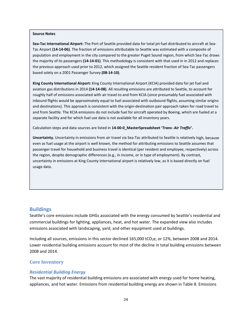**Sea‐Tac International Airport:** The Port of Seattle provided data for total jet fuel distributed to aircraft at Sea‐ Tac Airport **(14‐14‐06)**. The fraction of emissions attributable to Seattle was estimated with a composite of population and employment in the city compared to the greater Puget Sound region, from which Sea‐Tac draws the majority of its passengers **(14‐14‐01)**. This methodology is consistent with that used in in 2012 and replaces the previous approach used prior to 2012, which assigned the Seattle resident fraction of Sea‐Tac passengers based solely on a 2001 Passenger Survey **(08‐14‐10)**.

**King County International Airport:** King County International Airport (KCIA) provided data for jet fuel and aviation gas distributions in 2014 **(14‐14‐08)**. All resulting emissions are attributed to Seattle, to account for roughly half of emissions associated with air travel to and from KCIA (since presumably fuel associated with inbound flights would be approximately equal to fuel associated with outbound flights, assuming similar origins and destinations). This approach is consistent with the origin‐destination pair approach taken for road travel to and from Seattle. The KCIA emissions do not include fuel for aircraft operated by Boeing, which are fueled at a separate facility and for which fuel use data is not available for all inventory years.

Calculation steps and data sources are listed in **14‐00‐0\_MasterSpreadsheet '***Trans‐ Air Traffic***'.**

**Uncertainty.** Uncertainty in emissions from air travel via Sea‐Tac attributed to Seattle is relatively high, because even as fuel usage at the airport is well known, the method for attributing emissions to Seattle assumes that passenger travel for household and business travel is identical (per resident and employee, respectively) across the region, despite demographic differences (e.g., in income, or in type of employment). By contrast, uncertainty in emissions at King County international airport is relatively low, as it is based directly on fuel usage data.

#### **Buildings**

Seattle's core emissions include GHGs associated with the energy consumed by Seattle's residential and commercial buildings for lighting, appliances, heat, and hot water. The expanded view also includes emissions associated with landscaping, yard, and other equipment used at buildings.

Including all sources, emissions in this sector declined 165,000 tCO<sub>2</sub>e, or 12%, between 2008 and 2014. Lower residential building emissions account for most of the decline in total building emissions between 2008 and 2014.

### **Core Inventory**

#### *Residential Building Energy*

The vast majority of residential building emissions are associated with energy used for home heating, appliances, and hot water. Emissions from residential building energy are shown in Table 8. Emissions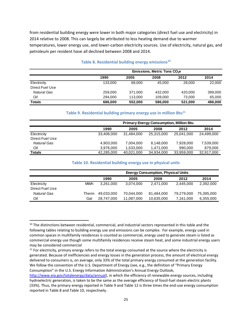from residential building energy were lower in both major categories (direct fuel use and electricity) in 2014 relative to 2008. This can largely be attributed to less heating demand due to warmer temperatures, lower energy use, and lower‐carbon electricity sources. Use of electricity, natural gas, and petroleum per resident have all declined between 2008 and 2014.

|                 | <b>Emissions, Metric Tons CO<sub>2</sub>e</b> |         |         |         |         |
|-----------------|-----------------------------------------------|---------|---------|---------|---------|
|                 | 1990                                          | 2005    | 2008    | 2012    | 2014    |
| Electricity     | 133.000                                       | 68.000  | 45,000  | 28,000  | 22,000  |
| Direct Fuel Use |                                               |         |         |         |         |
| Natural Gas     | 259,000                                       | 371.000 | 432.000 | 420.000 | 399,000 |
| Oil             | 294.000                                       | 113,000 | 109.000 | 73,000  | 65,000  |
| <b>Totals</b>   | 686,000                                       | 552,000 | 586,000 | 521,000 | 486.000 |

#### **Table 8. Residential building energy emissions<sup>10</sup>**

### **Table 9. Residential building primary energy use in million Btu11**

|                    | <b>Primary Energy Consumption, Million Btu</b> |            |            |            |            |
|--------------------|------------------------------------------------|------------|------------|------------|------------|
|                    | 1990                                           | 2005       | 2008       | 2012       | 2014       |
| Electricity        | 33,406,000                                     | 31.484.000 | 25,315,000 | 25.041.000 | 24,499,000 |
| Direct Fuel Use    |                                                |            |            |            |            |
| <b>Natural Gas</b> | 4,903,000                                      | 7,004,000  | 8,148,000  | 7,928,000  | 7,539,000  |
| Oil                | 3,976,000                                      | 1,533,000  | 1,471,000  | 990,000    | 879,000    |
| <b>Totals</b>      | 42,285,000                                     | 40,021,000 | 34,934,000 | 33,959,000 | 32,917,000 |

#### **Table 10. Residential building energy use in physical units**

|                 |            | <b>Energy Consumption, Physical Units</b> |            |            |            |            |
|-----------------|------------|-------------------------------------------|------------|------------|------------|------------|
|                 |            | 1990                                      | 2005       | 2008       | 2012       | 2014       |
| Electricity     | <b>MWh</b> | 3,261,000                                 | 3.074.000  | 2.471.000  | 2,445,000  | 2,392,000  |
| Direct Fuel Use |            |                                           |            |            |            |            |
| Natural Gas     | Therm      | 49.033.000                                | 70,044,000 | 81.484.000 | 79,279,000 | 75,395,000 |
| Oil             | Gal        | 28,747,000                                | 11,087,000 | 10,635,000 | 7.161.000  | 6,355,000  |

<sup>&</sup>lt;sup>10</sup> The distinctions between residential, commercial, and industrial sectors represented in this table and the following tables relating to building energy use and emissions can be complex. For example, energy used in common spaces in multifamily residences is counted as commercial, energy used to generate steam is listed as commercial energy use though some multifamily residences receive steam heat, and some industrial energy users may be considered commercial

 $11$  For electricity, primary energy refers to the total energy consumed at the source where the electricity is generated. Because of inefficiencies and energy losses in the generation process, the amount of electrical energy delivered to consumers is, on average, only 33% of the total primary energy consumed at the generation facility. We follow the convention of the U.S. Department of Energy (see, e.g., the definition of "Primary Energy Consumption" in the U.S. Energy Information Administration's Annual Energy Outlook,

http://www.eia.gov/totalenergy/data/annual), in which the efficiency of renewable energy sources, including hydroelectric generation, is taken to be the same as the average efficiency of fossil-fuel steam electric plants (33%). Thus, the primary energy reported in Table 9 and Table 12 is three times the end‐use energy consumption reported in Table 8 and Table 10, respectively.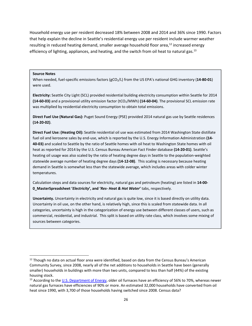Household energy use per resident decreased 18% between 2008 and 2014 and 36% since 1990. Factors that help explain the decline in Seattle's residential energy use per resident include warmer weather resulting in reduced heating demand, smaller average household floor area, $^{12}$  increased energy efficiency of lighting, appliances, and heating, and the switch from oil heat to natural gas.<sup>13</sup>

#### **Source Notes**

When needed, fuel‐specific emissions factors (gCO2/L) from the US EPA's national GHG inventory (**14‐80‐01**) were used.

**Electricity:** Seattle City Light (SCL) provided residential building electricity consumption within Seattle for 2014 **(14‐60‐03)** and a provisional utility emission factor (tCO2/MWh) **(14‐60‐04)**. The provisional SCL emission rate was multiplied by residential electricity consumption to obtain total emissions.

**Direct Fuel Use (Natural Gas):** Puget Sound Energy (PSE) provided 2014 natural gas use by Seattle residences **(14‐20‐02)**.

**Direct Fuel Use: (Heating Oil):** Seattle residential oil use was estimated from 2014 Washington State distillate fuel oil and kerosene sales by end‐use, which is reported by the U.S. Energy Information Administration **(14‐ 40‐03)** and scaled to Seattle by the ratio of Seattle homes with oil heat to Washington State homes with oil heat as reported for 2014 by the U.S. Census Bureau American Fact Finder database **(14‐20‐01)**. Seattle's heating oil usage was also scaled by the ratio of heating degree days in Seattle to the population‐weighted statewide average number of heating degree days **(14‐12‐08)**. This scaling is necessary because heating demand in Seattle is somewhat less than the statewide average, which includes areas with colder winter temperatures.

Calculation steps and data sources for electricity, natural gas and petroleum (heating) are listed in **14‐00‐ 0\_MasterSpreadsheet '***Electricity***', and '***Res‐ Heat & Hot Water***'** tabs, respectively.

**Uncertainty.** Uncertainty in electricity and natural gas is quite low, since it is based directly on utility data. Uncertainty in oil use, on the other hand, is relatively high, since this is scaled from statewide data. In all categories, uncertainty is high in the categorization of energy use between different classes of users, such as commercial, residential, and industrial. This split is based on utility rate class, which involves some mixing of sources between categories.

<sup>&</sup>lt;sup>12</sup> Though no data on actual floor area were identified, based on data from the Census Bureau's American Community Survey, since 2008, nearly all of the net additions to households in Seattle have been (generally smaller) households in buildings with more than two units, compared to less than half (44%) of the existing housing stock.

<sup>&</sup>lt;sup>13</sup> According to the U.S. Department of Energy, older oil furnaces have an efficiency of 56% to 70%, whereas newer natural gas furnaces have efficiencies of 90% or more. An estimated 32,000 households have converted from oil heat since 1990, with 3,700 of those households having switched since 2008. Census data?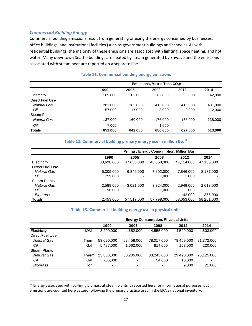### *Commercial Building Energy*

Commercial building emissions result from generating or using the energy consumed by businesses, office buildings, and institutional facilities (such as government buildings and schools). As with residential buildings, the majority of these emissions are associated with lighting, space heating, and hot water. Many downtown Seattle buildings are heated by steam generated by Enwave and the emissions associated with steam heat are reported on a separate line.

|                     | Emissions, Metric Tons CO <sub>2</sub> e |         |         |         |         |  |
|---------------------|------------------------------------------|---------|---------|---------|---------|--|
|                     | 1990                                     | 2005    | 2008    | 2012    | 2014    |  |
| Electricity         | 169.000                                  | 102.000 | 82,000  | 53,000  | 42,000  |  |
| Direct Fuel Use     |                                          |         |         |         |         |  |
| Natural Gas         | 281,000                                  | 363,000 | 413.000 | 416,000 | 431,000 |  |
| Oil                 | 57,000                                   | 17,000  | 8,000   | 2,000   | 2,000   |  |
| <b>Steam Plants</b> |                                          |         |         |         |         |  |
| <b>Natural Gas</b>  | 137,000                                  | 160,000 | 176,000 | 156,000 | 138,000 |  |
| Oil                 | 7,000                                    | ٠       | 1,000   |         |         |  |
| <b>Totals</b>       | 651.000                                  | 642.000 | 680.000 | 627.000 | 613.000 |  |

### **Table 11. Commercial building energy emissions**

#### **Table 12. Commercial building primary energy use in million Btu14**

|                     | <b>Primary Energy Consumption, Million Btu</b> |            |            |            |            |
|---------------------|------------------------------------------------|------------|------------|------------|------------|
|                     | 1990                                           | 2005       | 2008       | 2012       | 2014       |
| Electricity         | 33,698,000                                     | 47,650,000 | 46,658,000 | 47,114,000 | 47,155,000 |
| Direct Fuel Use     |                                                |            |            |            |            |
| Natural Gas         | 5,309,000                                      | 6.846.000  | 7,802,000  | 7,846,000  | 8,137,000  |
| Oil                 | 759,000                                        | ٠          | 7.000      | 1.000      |            |
| <b>Steam Plants</b> |                                                |            |            |            |            |
| Natural Gas         | 2,589,000                                      | 3,021,000  | 3,324,000  | 2,949,000  | 2,613,000  |
| Oil                 | 98,000                                         | -          | 7,000      | 1,000      |            |
| <b>Biomass</b>      | ٠                                              | ٠          | ٠          | 142,000    | 356,000    |
| <b>Totals</b>       | 42,453,000                                     | 57,517,000 | 57,798,000 | 58,053,000 | 58,261,000 |

#### **Table 13. Commercial building energy use in physical units**

|                     |            | <b>Energy Consumption, Physical Units</b> |                          |                          |            |            |
|---------------------|------------|-------------------------------------------|--------------------------|--------------------------|------------|------------|
|                     |            | 1990                                      | 2005                     | 2008                     | 2012       | 2014       |
| Electricity         | <b>MWh</b> | 3,290,000                                 | 4,652,000                | 4,555,000                | 4,599,000  | 4,603,000  |
| Direct Fuel Use     |            |                                           |                          |                          |            |            |
| Natural Gas         | Therm      | 53,090,000                                | 68,458,000               | 78,017,000               | 78,459,000 | 81.372.000 |
| Oil                 | Gal        | 5,487,000                                 | 1.662.000                | 814.000                  | 157.000    | 220,000    |
| <b>Steam Plants</b> |            |                                           |                          |                          |            |            |
| Natural Gas         | Therm      | 25,888,000                                | 30,205,000               | 33,243,000               | 29,490,000 | 26,125,000 |
| Oil                 | Gal        | 706.000                                   | $\overline{\phantom{0}}$ | 54,000                   | 10,000     |            |
| Biomass             | Ton        | $\overline{\phantom{0}}$                  | $\overline{\phantom{0}}$ | $\overline{\phantom{0}}$ | 9,000      | 21,000     |

<sup>&</sup>lt;sup>14</sup> Energy associated with co-firing biomass at steam plants is reported here for informational purposes, but emissions are counted here as zero following the primary practice used in the EPA's national inventory.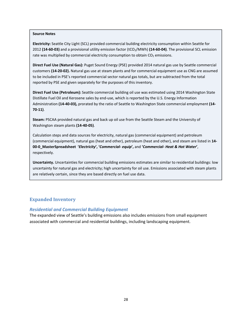**Electricity:** Seattle City Light (SCL) provided commercial building electricity consumption within Seattle for 2012 **(14‐60‐03)** and a provisional utility emission factor (tCO2/MWh) **(14‐60‐04)**. The provisional SCL emission rate was multiplied by commercial electricity consumption to obtain  $CO<sub>2</sub>$  emissions.

**Direct Fuel Use (Natural Gas):** Puget Sound Energy (PSE) provided 2014 natural gas use by Seattle commercial customers **(14‐20‐02).** Natural gas use at steam plants and for commercial equipment use as CNG are assumed to be included in PSE's reported commercial sector natural gas totals, but are subtracted from the total reported by PSE and given separately for the purposes of this inventory.

**Direct Fuel Use (Petroleum):** Seattle commercial building oil use was estimated using 2014 Washington State Distillate Fuel Oil and Kerosene sales by end‐use, which is reported by the U.S. Energy Information Administration **(14‐40‐03),** prorated by the ratio of Seattle to Washington State commercial employment **(14‐ 70‐11)**.

**Steam:** PSCAA provided natural gas and back up oil use from the Seattle Steam and the University of Washington steam plants **(14‐40‐05)**.

Calculation steps and data sources for electricity, natural gas (commercial equipment) and petroleum (commercial equipment), natural gas (heat and other), petroleum (heat and other), and steam are listed in **14‐** 00-0\_MasterSpreadsheet 'Electricity', 'Commercial- equip', and 'Commercial- Heat & Hot Water', respectively.

**Uncertainty.** Uncertainties for commercial building emissions estimates are similar to residential buildings: low uncertainty for natural gas and electricity; high uncertainty for oil use. Emissions associated with steam plants are relatively certain, since they are based directly on fuel use data.

### **Expanded Inventory**

#### *Residential and Commercial Building Equipment*

The expanded view of Seattle's building emissions also includes emissions from small equipment associated with commercial and residential buildings, including landscaping equipment.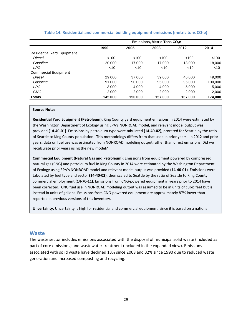|                                   | Emissions, Metric Tons CO <sub>2</sub> e |         |         |         |         |  |
|-----------------------------------|------------------------------------------|---------|---------|---------|---------|--|
|                                   | 1990                                     | 2005    | 2008    | 2012    | 2014    |  |
| <b>Residential Yard Equipment</b> |                                          |         |         |         |         |  |
| <b>Diesel</b>                     | < 100                                    | < 100   | < 100   | < 100   | < 100   |  |
| Gasoline                          | 20,000                                   | 17.000  | 17.000  | 18.000  | 18,000  |  |
| <b>LPG</b>                        | $<$ 10                                   | < 10    | $<$ 10  | < 10    | $<$ 10  |  |
| <b>Commercial Equipment</b>       |                                          |         |         |         |         |  |
| <b>Diesel</b>                     | 29,000                                   | 37,000  | 39,000  | 46.000  | 49.000  |  |
| Gasoline                          | 91.000                                   | 90.000  | 95,000  | 96.000  | 100,000 |  |
| <b>LPG</b>                        | 3,000                                    | 4,000   | 4,000   | 5.000   | 5,000   |  |
| <b>CNG</b>                        | 2.000                                    | 2.000   | 2.000   | 2.000   | 2,000   |  |
| <b>Totals</b>                     | 145,000                                  | 150,000 | 157,000 | 167,000 | 174,000 |  |

#### **Table 14. Residential and commercial building equipment emissions (metric tons CO2e)**

#### **Source Notes**

**Residential Yard Equipment (Petroleum):** King County yard equipment emissions in 2014 were estimated by the Washington Department of Ecology using EPA's NONROAD model, and relevant model output was provided **(14‐40‐01)**. Emissions by petroleum type were tabulated **(14‐40‐02),** prorated for Seattle by the ratio of Seattle to King County population. This methodology differs from that used in prior years. In 2012 and prior years, data on fuel use was estimated from NONROAD modeling output rather than direct emissions. Did we recalculate prior years using the new model?

**Commercial Equipment (Natural Gas and Petroleum):** Emissions from equipment powered by compressed natural gas (CNG) and petroleum fuel in King County in 2014 were estimated by the Washington Department of Ecology using EPA's NONROAD model and relevant model output was provided **(14‐40‐01)**. Emissions were tabulated by fuel type and sector **(14‐40‐02)**, then scaled to Seattle by the ratio of Seattle to King County commercial employment **(14‐70‐11)**. Emissions from CNG‐powered equipment in years prior to 2014 have been corrected. CNG fuel use in NONROAD modeling output was assumed to be in units of cubic feet but is instead in units of gallons. Emissions from CNG‐powered equipment are approximately 87% lower than reported in previous versions of this inventory.

**Uncertainty.** Uncertainty is high for residential and commercial equipment, since it is based on a national

#### **Waste**

The waste sector includes emissions associated with the disposal of municipal solid waste (included as part of core emissions) and wastewater treatment (included in the expanded view). Emissions associated with solid waste have declined 13% since 2008 and 32% since 1990 due to reduced waste generation and increased composting and recycling.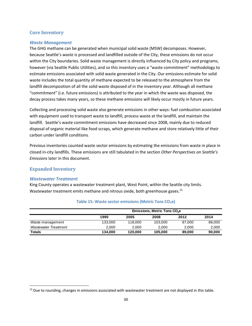### **Core Inventory**

### *Waste Management*

The GHG methane can be generated when municipal solid waste (MSW) decomposes. However, because Seattle's waste is processed and landfilled outside of the City, these emissions do not occur within the City boundaries. Solid waste management is directly influenced by City policy and programs, however (via Seattle Public Utilities), and so this inventory uses a "waste commitment" methodology to estimate emissions associated with solid waste generated in the City. Our emissions estimate for solid waste includes the total quantity of methane expected to be released to the atmosphere from the landfill decomposition of all the solid waste disposed of in the inventory year. Although all methane "commitment" (i.e. future emissions) is attributed to the year in which the waste was disposed, the decay process takes many years, so these methane emissions will likely occur mostly in future years.

Collecting and processing solid waste also generate emissions in other ways: fuel combustion associated with equipment used to transport waste to landfill, process waste at the landfill, and maintain the landfill. Seattle's waste commitment emissions have decreased since 2008, mainly due to reduced disposal of organic material like food scraps, which generate methane and store relatively little of their carbon under landfill conditions.

Previous inventories counted waste sector emissions by estimating the emissions from waste in place in closed in‐city landfills. These emissions are still tabulated in the section *Other Perspectives on Seattle's Emissions* later in this document.

# **Expanded Inventory**

#### *Wastewater Treatment*

King County operates a wastewater treatment plant, West Point, within the Seattle city limits. Wastewater treatment emits methane and nitrous oxide, both greenhouse gases.<sup>15</sup>

|                             | Emissions, Metric Tons CO <sub>2</sub> e |         |         |        |        |
|-----------------------------|------------------------------------------|---------|---------|--------|--------|
|                             | 1990                                     | 2005    | 2008    | 2012   | 2014   |
| Waste management            | 133.000                                  | 118,000 | 103.000 | 87.000 | 88,000 |
| <b>Wastewater Treatment</b> | 2.000                                    | 2.000   | 2.000   | 2.000  | 2.000  |
| <b>Totals</b>               | 134.000                                  | 120.000 | 105.000 | 89,000 | 90.000 |

### **Table 15: Waste sector emissions (Metric Tons CO2e)**

<sup>&</sup>lt;sup>15</sup> Due to rounding, changes in emissions associated with wastewater treatment are not displayed in this table.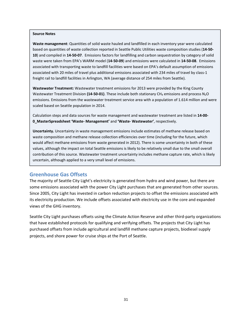**Waste management**: Quantities of solid waste hauled and landfilled in each inventory year were calculated based on quantities of waste collection reported in Seattle Public Utilities waste composition studies (**14‐50‐ 10**) and compiled in **14‐50‐07**. Emissions factors for landfilling and carbon sequestration by category of solid waste were taken from EPA's WARM model (**14‐50‐09**) and emissions were calculated in **14‐50‐08**. Emissions associated with transporting waste to landfill facilities were based on EPA's default assumption of emissions associated with 20 miles of travel plus additional emissions associated with 234 miles of travel by class-1 freight rail to landfill facilities in Arlington, WA (average distance of 254 miles from Seattle).

**Wastewater Treatment:** Wastewater treatment emissions for 2013 were provided by the King County Wastewater Treatment Division (14-50-01). These include both stationary CH<sub>4</sub> emissions and process N<sub>2</sub>O emissions. Emissions from the wastewater treatment service area with a population of 1.614 million and were scaled based on Seattle population in 2014.

Calculation steps and data sources for waste management and wastewater treatment are listed in **14‐00‐ 0\_MasterSpreadsheet 'Waste‐ Management'** and **'Waste‐ Wastewater'**, respectively.

**Uncertainty.** Uncertainty in waste management emissions include estimates of methane release based on waste composition and methane release collection efficiencies over time (including for the future, which would affect methane emissions from waste generated in 2012). There is some uncertainty in both of these values, although the impact on total Seattle emissions is likely to be relatively small due to the small overall contribution of this source. Wastewater treatment uncertainty includes methane capture rate, which is likely uncertain, although applied to a very small level of emissions.

### **Greenhouse Gas Offsets**

The majority of Seattle City Light's electricity is generated from hydro and wind power, but there are some emissions associated with the power City Light purchases that are generated from other sources. Since 2005, City Light has invested in carbon reduction projects to offset the emissions associated with its electricity production. We include offsets associated with electricity use in the core and expanded views of the GHG inventory.

Seattle City Light purchases offsets using the Climate Action Reserve and other third-party organizations that have established protocols for qualifying and verifying offsets. The projects that City Light has purchased offsets from include agricultural and landfill methane capture projects, biodiesel supply projects, and shore power for cruise ships at the Port of Seattle.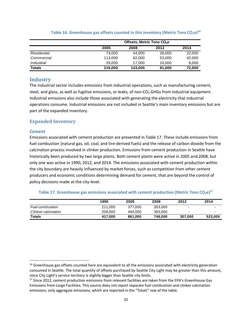|               | Offsets, Metric Tons CO <sub>2</sub> e |         |        |        |  |  |  |
|---------------|----------------------------------------|---------|--------|--------|--|--|--|
|               | 2005                                   | 2008    | 2012   | 2014   |  |  |  |
| Residential   | 74.000                                 | 44.000  | 28,000 | 22,000 |  |  |  |
| Commercial    | 113,000                                | 82,000  | 53,000 | 42,000 |  |  |  |
| Industrial    | 29,000                                 | 17.000  | 10.000 | 8,000  |  |  |  |
| <b>Totals</b> | 216,000                                | 143,000 | 91,000 | 72.000 |  |  |  |

#### **Table 16. Greenhouse gas offsets counted in this inventory (Metric Tons CO2e)16**

### **Industry**

The industrial sector includes emissions from industrial operations, such as manufacturing cement, steel, and glass, as well as fugitive emissions, or leaks, of non-CO<sub>2</sub> GHGs from industrial equipment. Industrial emissions also include those associated with generating the electricity that industrial operations consume. Industrial emissions are not included in Seattle's main inventory emissions but are part of the expanded inventory.

### **Expanded Inventory**

#### *Cement*

Emissions associated with cement production are presented in Table 17. These include emissions from fuel combustion (natural gas, oil, coal, and tire-derived fuels) and the release of carbon dioxide from the calcination process involved in clinker production. Emissions from cement production in Seattle have historically been produced by two large plants. Both cement plants were active in 2005 and 2008, but only one was active in 1990, 2012, and 2014. The emissions associated with cement production within the city boundary are heavily influenced by market forces, such as competition from other cement producers and economic conditions determining demand for cement, that are beyond the control of policy decisions made at the city‐level.

#### **Table 17. Greenhouse gas emissions associated with cement production (Metric Tons CO<sub>2</sub>e)<sup>17</sup>**

|                        | 1990    | 2005    | 2008    | 2012                     | 2014    |
|------------------------|---------|---------|---------|--------------------------|---------|
| <b>Fuel combustion</b> | 211.000 | 377.000 | 353,000 | ۰                        |         |
| Clinker calcination    | 206,000 | 484.000 | 393,000 | $\overline{\phantom{a}}$ |         |
| <b>Totals</b>          | 417.000 | 861.000 | 746.000 | 307.000                  | 523.000 |

 $16$  Greenhouse gas offsets counted here are equivalent to all the emissions associated with electricity generation consumed in Seattle. The total quantity of offsets purchased by Seattle City Light may be greater than this amount, since City Light's service territory is slightly bigger than Seattle city limits.

<sup>&</sup>lt;sup>17</sup> Since 2012, cement production emissions from relevant facilities are taken from the EPA's Greenhouse Gas Emissions from Large Facilities. This source does not report separate fuel combustion and clinker calcination emissions, only aggregate emissions, which are reported in the "Totals" row of the table.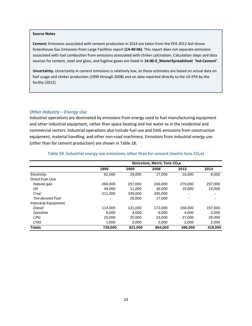**Cement:** Emissions associated with cement production in 2014 are taken from the EPA 2012 Ash Grove Greenhouse Gas Emissions from Large Facilities report **(14‐40‐06)**. This report does not separate emissions associated with fuel combustion from emissions associated with clinker calcination. Calculation steps and data sources for cement, steel and glass, and fugitive gases are listed in **14‐00‐0\_MasterSpreadsheet 'Ind‐Cement'**.

**Uncertainty.** Uncertainty in cement emissions is relatively low, as these estimates are based on actual data on fuel usage and clinker production (1990 through 2008) and on data reported directly to the US EPA by the facility (2012).

#### *Other Industry – Energy Use*

Industrial operations are dominated by emissions from energy used to fuel manufacturing equipment and other industrial equipment, rather than space heating and hot water as in the residential and commercial sectors. Industrial operations also include fuel use and GHG emissions from construction equipment, material handling, and other non-road machinery. Emissions from industrial energy use (other than for cement production) are shown in Table 18.

|                      | Emissions, Metric Tons CO <sub>2</sub> e |         |         |         |         |  |
|----------------------|------------------------------------------|---------|---------|---------|---------|--|
|                      | 1990                                     | 2005    | 2008    | 2012    | 2014    |  |
| Electricity          | 62,000                                   | 26,000  | 17,000  | 10.000  | 8,000   |  |
| Direct Fuel Use      |                                          |         |         |         |         |  |
| Natural gas          | 266,000                                  | 257,000 | 246,000 | 270,000 | 207,000 |  |
| Oil                  | 49.000                                   | 11.000  | 36,000  | 15.000  | 14.000  |  |
| Coal                 | 211,000                                  | 339,000 | 335,000 | ٠       |         |  |
| Tire-derived Fuel    |                                          | 26,000  | 17.000  |         |         |  |
| Industrial Equipment |                                          |         |         |         |         |  |
| Diesel               | 114.000                                  | 131.000 | 172.000 | 158,000 | 157,000 |  |
| Gasoline             | 6.000                                    | 4.000   | 6.000   | 4.000   | 3.000   |  |
| <b>LPG</b>           | 20,000                                   | 25,000  | 33,000  | 27,000  | 28,000  |  |
| <b>CNG</b>           | 1.000                                    | 2.000   | 2,000   | 2,000   | 2,000   |  |
| <b>Totals</b>        | 729,000                                  | 821,000 | 864.000 | 486.000 | 419.000 |  |

#### **Table 18. Industrial energy use emissions, other than for cement (metric tons CO2e)**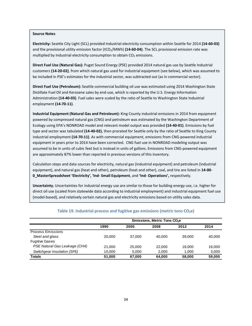**Electricity:** Seattle City Light (SCL) provided Industrial electricity consumption within Seattle for 2014 **(14‐60‐03)** and the provisional utility emission factor (tCO<sub>2</sub>/MWh) (14-60-04). The SCL provisional emission rate was multiplied by Industrial electricity consumption to obtain  $CO<sub>2</sub>$  emissions.

**Direct Fuel Use (Natural Gas):** Puget Sound Energy (PSE) provided 2014 natural gas use by Seattle Industrial customers **(14‐20‐02)**, from which natural gas used for industrial equipment (see below), which was assumed to be included in PSE's estimates for the industrial sector, was subtracted out (as in commercial sector).

**Direct Fuel Use (Petroleum):** Seattle commercial building oil use was estimated using 2014 Washington State Distillate Fuel Oil and Kerosene sales by end‐use, which is reported by the U.S. Energy Information Administration **(14‐40‐03)**. Fuel sales were scaled by the ratio of Seattle to Washington State Industrial employment **(14‐70‐11)**.

**Industrial Equipment (Natural Gas and Petroleum):** King County industrial emissions in 2014 from equipment powered by compressed natural gas (CNG) and petroleum was estimated by the Washington Department of Ecology using EPA's NONROAD model and relevant model output was provided **(14‐40‐01)**. Emissions by fuel type and sector was tabulated **(14‐40‐02)**, then prorated for Seattle only by the ratio of Seattle to King County industrial employment **(14‐70‐11)**. As with commercial equipment, emissions from CNG‐powered industrial equipment in years prior to 2014 have been corrected. CNG fuel use in NONROAD modeling output was assumed to be in units of cubic feet but is instead in units of gallons. Emissions from CNG‐powered equipment are approximately 87% lower than reported in previous versions of this inventory.

Calculation steps and data sources for electricity, natural gas (industrial equipment) and petroleum (industrial equipment), and natural gas (heat and other), petroleum (heat and other), coal, and tire are listed in **14‐00‐ 0\_MasterSpreadsheet 'Electricity', 'Ind‐ Small Equipment**, and **'Ind‐ Operations',** respectively.

**Uncertainty.** Uncertainties for industrial energy use are similar to those for building energy use, i.e. higher for direct oil use (scaled from statewide data according to industrial employment) and industrial equipment fuel use (model‐based), and relatively certain natural gas and electricity emissions based on utility sales data.

|                               | Emissions, Metric Tons CO <sub>2</sub> e |        |        |        |        |  |
|-------------------------------|------------------------------------------|--------|--------|--------|--------|--|
|                               | 1990                                     | 2005   | 2008   | 2012   | 2014   |  |
| <b>Process Emissions</b>      |                                          |        |        |        |        |  |
| Steel and glass               | 20,000                                   | 37,000 | 40.000 | 39,000 | 40.000 |  |
| <b>Fugitive Gases</b>         |                                          |        |        |        |        |  |
| PSE Natural Gas Leakage (CH4) | 21.000                                   | 25,000 | 22,000 | 18.000 | 16,000 |  |
| Switchgear insulation (SF6)   | 10.000                                   | 5.000  | 2.000  | 1.000  | 3,000  |  |
| Totals                        | 51,000                                   | 67.000 | 64.000 | 58,000 | 59,000 |  |

#### **Table** 19. **Industrial process and fugitive gas emissions (metric tons CO<sub>2</sub>e)**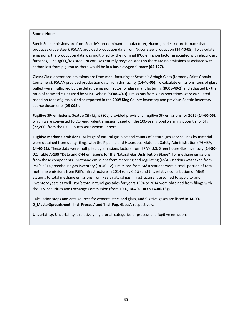**Steel:** Steel emissions are from Seattle's predominant manufacturer, Nucor (an electric arc furnace that produces crude steel). PSCAA provided production data from Nucor steel production **(14‐40‐05)**. To calculate emissions, the production data was multiplied by the nominal IPCC emission factor associated with electric arc furnaces, 1.25 kgCO<sub>2</sub>/Mg steel. Nucor uses entirely recycled stock so there are no emissions associated with carbon lost from pig iron as there would be in a basic oxygen furnace **(05‐127).**

**Glass:** Glass operations emissions are from manufacturing at Seattle's Ardagh Glass (formerly Saint‐Gobain Containers). PSCAA provided production data from this facility **(14‐40‐05)**. To calculate emissions, tons of glass pulled were multiplied by the default emission factor for glass manufacturing **(KC08‐40‐2)** and adjusted by the ratio of recycled cullet used by Saint‐Gobain **(KC08‐40‐3).** Emissions from glass operations were calculated based on tons of glass pulled as reported in the 2008 King County Inventory and previous Seattle inventory source documents **(05‐098)**.

**Fugitive SF<sub>6</sub> emissions:** Seattle City Light (SCL) provided provisional fugitive SF<sub>6</sub> emissions for 2012 (14-60-05), which were converted to CO<sub>2</sub>-equivalent emission based on the 100-year global warming potential of SF<sub>6</sub> (22,800) from the IPCC Fourth Assessment Report.

**Fugitive methane emissions:** Mileage of natural gas pipe and counts of natural gas service lines by material were obtained from utility filings with the Pipeline and Hazardous Materials Safety Administration (PHMSA, **14‐40‐11**). These data were multiplied by emissions factors from EPA's U.S. Greenhouse Gas Inventory (**14‐80‐ 02; Table A‐139 "Data and CH4 emissions for the Natural Gas Distribution Stage"**) for methane emissions from these components. Methane emissions from metering and regulating (M&R) stations was taken from PSE's 2014 greenhouse gas inventory (**14‐40‐12**). Emissions from M&R stations were a small portion of total methane emissions from PSE's infrastructure in 2014 (only 0.5%) and this relative contribution of M&R stations to total methane emissions from PSE's natural gas infrastructure is assumed to apply to prior inventory years as well. PSE's total natural gas sales for years 1994 to 2014 were obtained from filings with the U.S. Securities and Exchange Commission (form 10‐K, **14‐40‐13a to 14‐40‐13g**).

Calculation steps and data sources for cement, steel and glass, and fugitive gases are listed in **14‐00‐ 0\_MasterSpreadsheet 'Ind‐ Process'** and **'Ind‐ Fug. Gases'**, respectively.

**Uncertainty.** Uncertainty is relatively high for all categories of process and fugitive emissions.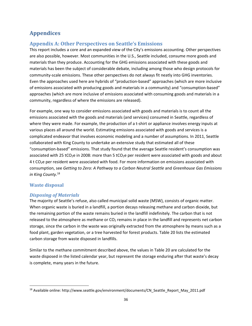# **Appendices**

# **Appendix A: Other Perspectives on Seattle's Emissions**

This report includes a core and an expanded view of the City's emissions accounting. Other perspectives are also possible, however. Most communities in the U.S., Seattle included, consume more goods and materials than they produce. Accounting for the GHG emissions associated with these goods and materials has been the subject of considerable debate, including among those who design protocols for community-scale emissions. These other perspectives do not always fit neatly into GHG inventories. Even the approaches used here are hybrids of "production‐based" approaches (which are more inclusive of emissions associated with producing goods and materials in a community) and "consumption‐based" approaches (which are more inclusive of emissions associated with consuming goods and materials in a community, regardless of where the emissions are released).

For example, one way to consider emissions associated with goods and materials is to count all the emissions associated with the goods and materials (and services) consumed in Seattle, regardless of where they were made. For example, the production of a t-shirt or appliance involves energy inputs at various places all around the world. Estimating emissions associated with goods and services is a complicated endeavor that involves economic modeling and a number of assumptions. In 2011, Seattle collaborated with King County to undertake an extensive study that estimated all of these "consumption‐based" emissions. That study found that the average Seattle resident's consumption was associated with 25 tCO<sub>2</sub>e in 2008: more than 5 tCO<sub>2</sub>e per resident were associated with goods and about 4 t CO2e per resident were associated with food. For more information on emissions associated with consumption, see *Getting to Zero: A Pathway to a Carbon Neutral Seattle* and *Greenhouse Gas Emissions in King County*. 18

# **Waste disposal**

# *Disposing of Materials*

The majority of Seattle's refuse, also called municipal solid waste (MSW), consists of organic matter. When organic waste is buried in a landfill, a portion decays releasing methane and carbon dioxide, but the remaining portion of the waste remains buried in the landfill indefinitely. The carbon that is not released to the atmosphere as methane or  $CO<sub>2</sub>$  remains in place in the landfill and represents net carbon storage, since the carbon in the waste was originally extracted from the atmosphere by means such as a food plant, garden vegetation, or a tree harvested for forest products. Table 20 lists the estimated carbon storage from waste disposed in landfills.

Similar to the methane commitment described above, the values in Table 20 are calculated for the waste disposed in the listed calendar year, but represent the storage enduring after that waste's decay is complete, many years in the future.

<sup>18</sup> Available online: http://www.seattle.gov/environment/documents/CN\_Seattle\_Report\_May\_2011.pdf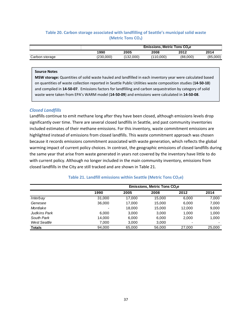### **Table 20. Carbon storage associated with landfilling of Seattle's municipal solid waste (Metric Tons CO2)**

|                | Emissions. Metric Tons CO <sub>2</sub> e |           |           |          |          |
|----------------|------------------------------------------|-----------|-----------|----------|----------|
|                | 1990                                     | 2005      | 2008      | 2012     | 2014     |
| Carbon storage | (230,000)                                | (132,000) | (110.000) | (88,000) | (85,000) |

#### **Source Notes**

**MSW storage:** Quantities of solid waste hauled and landfilled in each inventory year were calculated based on quantities of waste collection reported in Seattle Public Utilities waste composition studies (**14‐50‐10**) and compiled in **14‐50‐07**. Emissions factors for landfilling and carbon sequestration by category of solid waste were taken from EPA's WARM model (**14‐50‐09**) and emissions were calculated in **14‐50‐08**.

#### *Closed Landfills*

Landfills continue to emit methane long after they have been closed, although emissions levels drop significantly over time. There are several closed landfills in Seattle, and past community inventories included estimates of their methane emissions. For this inventory, waste commitment emissions are highlighted instead of emissions from closed landfills. This waste commitment approach was chosen because it records emissions commitment associated with waste generation, which reflects the global warming impact of current policy choices. In contrast, the geographic emissions of closed landfills during the same year that arise from waste generated in years not covered by the inventory have little to do with current policy. Although no longer included in the main community inventory, emissions from closed landfills in the City are still tracked and are shown in Table 21.

|               | Emissions, Metric Tons CO <sub>2</sub> e |        |        |        |        |  |
|---------------|------------------------------------------|--------|--------|--------|--------|--|
|               | 1990                                     | 2005   | 2008   | 2012   | 2014   |  |
| Interbay      | 31,000                                   | 17.000 | 15.000 | 6,000  | 7,000  |  |
| Genesee       | 36,000                                   | 17,000 | 15.000 | 6.000  | 7,000  |  |
| Montlake      | $\overline{\phantom{0}}$                 | 18,000 | 15,000 | 12,000 | 9,000  |  |
| Judkins Park  | 6.000                                    | 3,000  | 3.000  | 1.000  | 1,000  |  |
| South Park    | 14.000                                   | 6.000  | 6.000  | 2.000  | 1,000  |  |
| West Seattle  | 7,000                                    | 3,000  | 3,000  |        |        |  |
| <b>Totals</b> | 94,000                                   | 65,000 | 56,000 | 27,000 | 25,000 |  |

#### **Table 21. Landfill emissions within Seattle (Metric Tons CO2e)**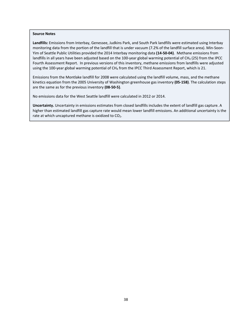**Landfills:** Emissions from Interbay, Genessee, Judkins Park, and South Park landfills were estimated using Interbay monitoring data from the portion of the landfill that is under vacuum (7.2% of the landfill surface area). Min-Soon-Yim of Seattle Public Utilities provided the 2014 Interbay monitoring data **(14‐50‐04)**. Methane emissions from landfills in all years have been adjusted based on the 100-year global warming potential of CH<sub>4</sub> (25) from the IPCC Fourth Assessment Report. In previous versions of this inventory, methane emissions from landfills were adjusted using the 100-year global warming potential of CH<sub>4</sub> from the IPCC Third Assessment Report, which is 21.

Emissions from the Montlake landfill for 2008 were calculated using the landfill volume, mass, and the methane kinetics equation from the 2005 University of Washington greenhouse gas inventory **(05‐158)**. The calculation steps are the same as for the previous inventory **(08‐50‐5)**.

No emissions data for the West Seattle landfill were calculated in 2012 or 2014.

**Uncertainty.** Uncertainty in emissions estimates from closed landfills includes the extent of landfill gas capture. A higher than estimated landfill gas capture rate would mean lower landfill emissions. An additional uncertainty is the rate at which uncaptured methane is oxidized to CO<sub>2</sub>.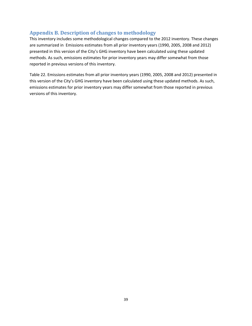# **Appendix B. Description of changes to methodology**

This inventory includes some methodological changes compared to the 2012 inventory. These changes are summarized in Emissions estimates from all prior inventory years (1990, 2005, 2008 and 2012) presented in this version of the City's GHG inventory have been calculated using these updated methods. As such, emissions estimates for prior inventory years may differ somewhat from those reported in previous versions of this inventory.

Table 22. Emissions estimates from all prior inventory years (1990, 2005, 2008 and 2012) presented in this version of the City's GHG inventory have been calculated using these updated methods. As such, emissions estimates for prior inventory years may differ somewhat from those reported in previous versions of this inventory.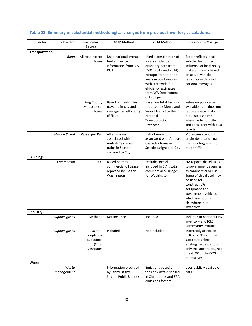| Sector           | <b>Subsector</b>      | <b>Particular</b><br><b>Source</b>                       | 2012 Method                                                                                         | 2014 Method                                                                                                                                                                                                                      | <b>Reason for Change</b>                                                                                                                                                                                                                |
|------------------|-----------------------|----------------------------------------------------------|-----------------------------------------------------------------------------------------------------|----------------------------------------------------------------------------------------------------------------------------------------------------------------------------------------------------------------------------------|-----------------------------------------------------------------------------------------------------------------------------------------------------------------------------------------------------------------------------------------|
| Transportation   |                       |                                                          |                                                                                                     |                                                                                                                                                                                                                                  |                                                                                                                                                                                                                                         |
|                  | Road                  | All road except<br>buses                                 | Used national average<br>fuel efficiency<br>information from U.S.<br><b>DOT</b>                     | Used a combination of<br>local vehicle fuel<br>efficiency data from<br>PSRC (2012 and 2014)<br>extrapolated to prior<br>years in combination<br>with statewide fuel<br>efficiency estimates<br>from WA Department<br>of Ecology. | Better reflects local<br>vehicle fleet under<br>influence of local policy<br>makers, since is based<br>on actual vehicle<br>registration data not<br>national averages                                                                  |
|                  |                       | King County<br>Metro diesel<br>buses                     | <b>Based on fleet-miles</b><br>traveled in-city and<br>average fuel efficiency<br>of fleet          | Based on total fuel use<br>reported by Metro and<br>Sound Transit to the<br>National<br>Transportation<br>Database                                                                                                               | Relies on publically-<br>available data, does not<br>require special data<br>request; less time-<br>intensive to compile<br>and consistent with past<br>results.                                                                        |
|                  | Marine & Rail         | Passenger Rail                                           | All emissions<br>associated with<br><b>Amtrak Cascades</b><br>trains in Seattle<br>assigned to City | Half of emissions<br>associated with Amtrak<br>Cascades trains in<br>Seattle assigned to City                                                                                                                                    | More consistent with<br>origin-destination pair<br>methodology used for<br>road traffic                                                                                                                                                 |
| <b>Buildings</b> |                       |                                                          |                                                                                                     |                                                                                                                                                                                                                                  |                                                                                                                                                                                                                                         |
|                  | Commercial            | Oil                                                      | Based on total<br>commercial oil usage<br>reported by EIA for<br>Washington                         | Excludes diesel<br>included in EIA's total<br>commercial oil usage<br>for Washington                                                                                                                                             | EIA reports diesel sales<br>to government agencies<br>as commercial oil use.<br>Some of this diesel may<br>be used for<br>constructio7n<br>equipment and<br>government vehicles,<br>which are counted<br>elsewhere in the<br>inventory. |
| Industry         |                       |                                                          |                                                                                                     |                                                                                                                                                                                                                                  |                                                                                                                                                                                                                                         |
|                  | <b>Fugitive gases</b> | Methane                                                  | Not included                                                                                        | Included                                                                                                                                                                                                                         | Included in national EPA<br>inventory and ICLEI<br><b>Community Protocol</b>                                                                                                                                                            |
|                  | <b>Fugitive gases</b> | Ozone-<br>depleting<br>substance<br>(ODS)<br>substitutes | Included                                                                                            | Not included                                                                                                                                                                                                                     | Incorrectly attributes<br>GHGs to ODS and their<br>substitutes since<br>existing methods count<br>only the substitutes, not<br>the GWP of the ODS<br>themselves.                                                                        |
| Waste            |                       |                                                          |                                                                                                     |                                                                                                                                                                                                                                  |                                                                                                                                                                                                                                         |
|                  | Waste<br>management   |                                                          | Information provided<br>by Jenny Bagby,<br><b>Seattle Public Utilities</b>                          | Emissions based on<br>tons of waste disposed<br>in City reports and EPA<br>emissions factors                                                                                                                                     | Uses publicly available<br>data                                                                                                                                                                                                         |

# **Table 22. Summary of substantial methodological changes from previous inventory calculations.**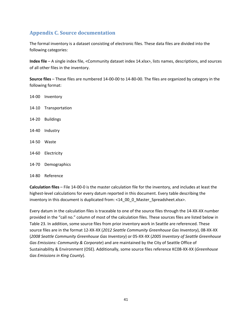# **Appendix C. Source documentation**

The formal inventory is a dataset consisting of electronic files. These data files are divided into the following categories:

**Index file** – A single index file, <Community dataset index 14.xlsx>, lists names, descriptions, and sources of all other files in the inventory.

**Source files** – These files are numbered 14‐00‐00 to 14‐80‐00. The files are organized by category in the following format:

‐00 Inventory ‐10 Transportation ‐20 Buildings ‐40 Industry ‐50 Waste ‐60 Electricity ‐70 Demographics

14‐80 Reference

**Calculation files** – File 14‐00‐0 is the master calculation file for the inventory, and includes at least the highest-level calculations for every datum reported in this document. Every table describing the inventory in this document is duplicated from: <14\_00\_0\_Master\_Spreadsheet.xlsx>.

Every datum in the calculation files is traceable to one of the source files through the 14‐XX‐XX number provided in the "call no." column of most of the calculation files. These sources files are listed below in Table 23. In addition, some source files from prior inventory work in Seattle are referenced. These source files are in the format 12‐XX‐XX (*2012 Seattle Community Greenhouse Gas Inventory*), 08‐XX‐XX (*2008 Seattle Community Greenhouse Gas Inventory*) or 05‐XX‐XX (*2005 Inventory of Seattle Greenhouse Gas Emissions: Community & Corporate*) and are maintained by the City of Seattle Office of Sustainability & Environment (OSE). Additionally, some source files reference KC08‐XX‐XX (*Greenhouse Gas Emissions in King County*).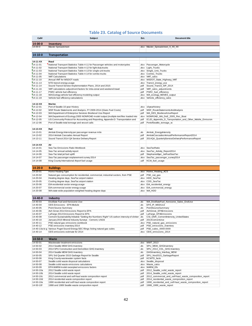# **Table 23. Catalog of Source Documents**

| Call#                            | <b>Subject</b>                                                                                                                       | Ext.         | <b>Document title</b>                                                                |
|----------------------------------|--------------------------------------------------------------------------------------------------------------------------------------|--------------|--------------------------------------------------------------------------------------|
| $14 - 00 - 0$                    | Inventory                                                                                                                            |              |                                                                                      |
| 14-00-0                          | Master Spreadsheet                                                                                                                   | xdsx.        | Master_Spreadsheet_X_XX_XX                                                           |
|                                  |                                                                                                                                      |              |                                                                                      |
| $14 - 10 - 0$                    | <b>Transportation</b>                                                                                                                |              |                                                                                      |
| 14-11-XX                         | Road                                                                                                                                 |              |                                                                                      |
| $74 - 11 - 01$                   | National Transport Statistics Table 4-11 for Passenger vehicles and motorcycles                                                      |              | .xlsx Passenger_Motorcycle                                                           |
| $14 - 11 - 02$<br>$74 - 11 - 03$ | National Transport Statistics Table 4-12 for light duty trucks<br>National Transport Statistics Table 4-13 for single-unit trucks    |              | .xlsx Light_Trucks<br>.xlsx Single_Unit_Trucks                                       |
| $14 - 11 - 04$                   | National Transport Statistics Table 4-14 for combo trucks                                                                            |              | .xlsx Combo_Trucks                                                                   |
| $14 - 11 - 05$                   | <b>VMT Calculations</b>                                                                                                              |              | .xlsx   VMT_calcs                                                                    |
| $14 - 11 - 10$                   | Annual VMT for WSDOT roads                                                                                                           |              | .xlsx WSDOT_State_Highway_VMT                                                        |
| $14 - 11 - 13$<br>$74 - 11 - 14$ | NTD transit energy usage<br>Sound Transit Service Implementation Plans, 2014 and 2015                                                | .pdf         | .xlsx Transit_energy_use<br>Sound_Transit_SIP_201X                                   |
| $74 - 11 - 16$                   | VMT calculations adjustment factors for intra-zonal and weekend travel                                                               | .pdf         | VMT calcs adjustments                                                                |
| $74 - 11 - 17$                   | PSRC vehicle fuel efficiency                                                                                                         | .pdf         | PSRC_fuel_efficiency                                                                 |
| $14 - 11 - 18$                   | WA Ecology vehicle fuel efficiency modeling output                                                                                   |              | .xlsx WA_ecology_MOVES_output                                                        |
| 14-11-19                         | Vehicle fuel efficiency calculations                                                                                                 |              | .xlsx Vehicle_efficiency_calcs                                                       |
| 14-12-XX                         | Marine                                                                                                                               |              |                                                                                      |
| $14 - 12 - 01$                   | Port of Seattle 10-year History                                                                                                      |              | .xlsx 10yearhistory                                                                  |
| $14 - 12 - 02$                   | WSF Route Statements and Analysis, FY 2009-2014 (Gives Fuel Costs)                                                                   | .pdf         | WSF_RouteStatementsAndAnalysis                                                       |
| 14-12-03                         | WA Department of Enterprise Services Biodiesel Use Report                                                                            | .pdf         | WA_DES_BiodieselUseReport                                                            |
| $74 - 12 - 04$                   | WA Department of Ecology 2005 NONROAD model output (multiple text files loaded into                                                  |              | .xlsx NONROAD_WA_DoE_2005_Rec_Boat                                                   |
| $14 - 12 - 05$<br>14-12-06       | US Community Protocol for Accounting and Reporting, Appendix D: Transportation and<br>Port of Seattle total tonnage and vessel calls | .pdf<br>.pdf | ICLEI_Appendix_D_Tansportation_and_Other_Mobile_Emission<br>PortofSeattle_tonnage_vc |
|                                  |                                                                                                                                      |              |                                                                                      |
| 14-13-XX                         | Rail                                                                                                                                 |              |                                                                                      |
| 14-13-01                         | Amtrak Energy Intensity per passenger revenue mile                                                                                   | .xls         | Amtrak EnergyIntensity                                                               |
| 14-13-02                         | 2014 Amtrak Cascades Annual Report                                                                                                   | .pdf         | AmtrakCascadesAnnualPerformanceReport2014                                            |
| 14-13-11                         | Sound Transit 2014 Q4 Service Delivery Report                                                                                        | .pdf         | 2014Q4_QuarterlyServiceDeliveryPerformanceReport                                     |
| $14 - 14 - XX$                   | Air                                                                                                                                  |              |                                                                                      |
| 14-14-01                         | Sea Tac Emissions Ratio Workbook                                                                                                     |              | .xlsx SeaTacRatio                                                                    |
| 14-14-05                         | Sea-Tac annual activity report                                                                                                       |              | .xlsx SeaTac Activity Report2014                                                     |
| 14-14-06                         | Sea-Tac total jet fuel uplift                                                                                                        | .pdf         | StephanieMyer_JetFuelSeaTac                                                          |
| 14-14-07                         | Sea-Tac passenger enplanement survey 2014                                                                                            | xsk.         | SeaTac_passenger_survey2014                                                          |
| 14-14-08                         | King County International Airport fuel usage                                                                                         | .udf         | KCIA_fuel_usage                                                                      |
| $14 - 20 - 0$                    | <b>Buildings</b>                                                                                                                     |              |                                                                                      |
| 14-20-01                         | Home Heating Type                                                                                                                    |              | .xlsx Home_Heating_ACS                                                               |
| 14-20-02                         | Natural gas consumption for residential, commercial, industrial sectors, from PSE                                                    |              | .pdf PSE_nat_gas                                                                     |
| 14-20-04                         | Heating degree days, SeaTac airport station                                                                                          |              | .xlsx HDD_SeaTac                                                                     |
| 14-20-05                         | Cooling degree days, SeaTac airport station                                                                                          |              | .xlsx CDD_SeaTac                                                                     |
| 14-20-06                         | EIA residential sector energy usage                                                                                                  |              | .xlsx EIA_residential_energy                                                         |
| 14-20-07<br>14-20-08             | EIA commercial sector energy usage<br>WA state-wide population-weighted heating degree days                                          |              | .xlsx EIA_commercial_energy<br>.xlsx WA_HDD                                          |
|                                  |                                                                                                                                      |              |                                                                                      |
| 14-40-0                          | Industry                                                                                                                             |              |                                                                                      |
| 14-40-03                         | Distillate Fuel and Kerosene Use                                                                                                     | .xls         | WA_DistillateFuel_Kerosene_Sales_EndUse                                              |
| 14-40-04                         | ODS Emissions - EPA Module                                                                                                           | .xls         | EPA_IP_MODULE                                                                        |
| 14-40-05                         | Point Source Summary                                                                                                                 | .xls         | PointSourceSummary                                                                   |
| 14-40-06<br>14-40-07             | Ash Grove 2014 Emissions Report to EPA<br>LaFarge 2014 Emissions Report to EPA                                                       | .pdf<br>.pdf | AshGrove_EPAEmissions<br>LaFarge_EPAEmissions                                        |
| 14-40-08                         | Cement Sustainability Initiative "Getting the Numbers Right" US carbon intensity of clinker .xls                                     |              | CSI GNR CementIntensity UnitedStates                                                 |
| 14-40-10                         | January 2015 Mineral Industry Surveys - Cement, USGS                                                                                 |              | 2014CementUse                                                                        |
| 14-40-11                         | PSE natural gas emissions workbook                                                                                                   |              | .xlsx PSE_natural_gas_emissions                                                      |
| 14-40-12                         | PSE emissions inventory 2014                                                                                                         |              | .pdf PSE emissions inventory                                                         |
| 14-40-13a to g<br>14-40-14       | Various Puget Sound Energy SEC filings listing natural gas sales<br>ODS emissions estimate for 2014                                  | .pdf         | PSE_sales_XXXX-XXXX<br>.xlsx ODS emissions 2014                                      |
|                                  |                                                                                                                                      |              |                                                                                      |
| 14-50-0                          | Waste                                                                                                                                |              |                                                                                      |
| 14-50-01                         | Wastewater treatment emissions                                                                                                       |              | .doc WWT_2013                                                                        |
| 14-50-02<br>14-50-03             | 2014 Seattle MSW GHG Inventory<br>2014 SPU Construction and Demolition GHG Inventory                                                 | .xls         | SPU_MSW_GHGInventory<br>SPU_2014_CDL_GHG Inventory                                   |
| 14-50-04                         | 2014 Seattle MDW GHG Inventory                                                                                                       | xls.<br>.xls | GHGInventory Interbay MDW                                                            |
| 14-50-05                         | SPU 3rd Quarter 2015 Garbage Report for Seattle                                                                                      | .pdf         | SPU Nov2015 GarbageReport                                                            |
| 14-50-06                         | King County wastewater system facts                                                                                                  | .pdf         | KCWTD_facts                                                                          |
| 14-50-07                         | Seattle solid waste disposal calculations                                                                                            |              | .xlsx Seattle_disposal                                                               |
| 14-50-08                         | Seattle solid waste emissions calculations                                                                                           |              | .xlsx Waste_calcs                                                                    |
| 14-50-09                         | EPA WARM model excerpted emissions factors                                                                                           |              | .xlsx WARM_Efs                                                                       |
| 14-50-10a<br>14-50-10b           | 2012 Seattle solid waste report<br>2014 Seattle solid waste report                                                                   | .pdf<br>.pdf | 2012_Seattle_solid_waste_report<br>2014_Seattle_solid_waste_report                   |
| 14-50-10c                        | 2012 commercial and self-haul waste composition report                                                                               | .pdf         | 2012_commercial_and_self-haul_waste_composition_report                               |
| 14-50-10d                        | 2014 residential waste composition report                                                                                            | .pdf         | 2014_residential_waste_composition_report                                            |
| 14-50-10e                        | 1990 residential and self-haul waste composition report                                                                              | .pdf         | 1990_residential_and_self-haul_waste_composition_report                              |
| 14-50-10f                        | 1988 and 1989 Seattle waste composition report                                                                                       | .pdf         | 1988_1989_waste_report                                                               |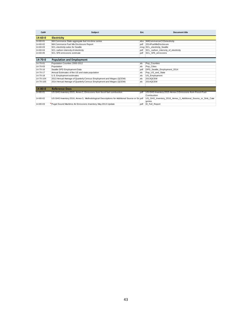| Call#          | <b>Subject</b>                                                                               | Ext.  | Document title                                               |
|----------------|----------------------------------------------------------------------------------------------|-------|--------------------------------------------------------------|
| $14 - 60 - 0$  | <b>Electricity</b>                                                                           |       |                                                              |
| 14-60-01       | WA Commerce State aggregate fuel mix time series                                             | .xlsx | WACommercerCO2electricity                                    |
| $14 - 60 - 02$ | WA Commerce Fuel Mix Disclosure Report                                                       | .pdf  | 2014 Fuel Mix Disclosure                                     |
| 14-60-03       | SCL electricity sales for Seattle                                                            |       | msg SCL electricity Seattle                                  |
| 14-60-04       | SCL carbon intensity of electricity                                                          | .pdf  | SCL carbon intensity of electricity                          |
| 14-60-05       | SCL SF6 emissions estimate                                                                   | .pdf  | <b>SCL SF6 emissions</b>                                     |
| 14-70-0        | <b>Population and Employment</b>                                                             |       |                                                              |
| 14-70-01       | Population Counties 2000-2012                                                                | .xls  | Pop Counties                                                 |
| 14-70-03       | Population                                                                                   | .xls  | Pop Cities                                                   |
| 14-70-16       | Seattle DPD Employment Data                                                                  | .pdf  | DPD_Seattle_Employment_2014                                  |
| $14 - 70 - 17$ | Annual Estimates of the US and state population                                              | .xls  | Pop US and State                                             |
| 14-70-18       | U.S. Employment estimates                                                                    | .xls  | <b>US Employment</b>                                         |
| 14-70-104      | 2013 Annual Average of Quarterly Census Employment and Wages (QCEW)                          | .xls  | 2013QCEW                                                     |
| 14-70-105      | 2014 Annual Average of Quarterly Census Employment and Wages (QCEW)                          | .xls  | 2014QCEW                                                     |
|                |                                                                                              |       |                                                              |
| $14 - 80 - 0$  | <b>Reference Docs</b>                                                                        |       |                                                              |
| 14-80-01       | US GHG Inventory 2015, Annex 2, Emissions from fossil fuel combustion                        | .pdf  | US-GHG-Inventory-2015-Annex-2-Emissions-from-Fossil-Fuel-    |
|                |                                                                                              |       | Combustion                                                   |
| 14-80-02       | US GHG Inventory 2016, Annex 3, Methodological Descriptions for Additional Source or Sil.pdf |       | US_GHG_Inventory_2016_Annex_3_Additional_Source_or_Sink_Cate |
|                |                                                                                              |       | gories                                                       |
| 14-80-03       | Puget Sound Maritime Air Emissions Inventory, May 2013 Update                                | .pdf  | El Full Report                                               |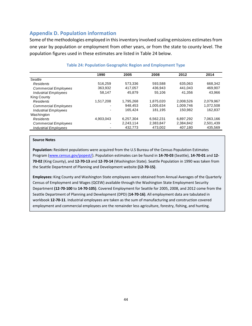# **Appendix D. Population information**

Some of the methodologies employed in this inventory involved scaling emissions estimates from one year by population or employment from other years, or from the state to county level. The population figures used in these estimates are listed in Table 24 below.

|                             | 1990                     | 2005      | 2008      | 2012      | 2014      |
|-----------------------------|--------------------------|-----------|-----------|-----------|-----------|
| Seattle                     |                          |           |           |           |           |
| <b>Residents</b>            | 516.259                  | 573.336   | 593.588   | 635.063   | 668.342   |
| <b>Commercial Employees</b> | 363.932                  | 417.057   | 436.943   | 441.043   | 469.907   |
| <b>Industrial Employees</b> | 58,147                   | 45.879    | 55,106    | 41.356    | 43.966    |
| King County                 |                          |           |           |           |           |
| <b>Residents</b>            | 1,517,208                | 1.795.268 | 1.875.020 | 2.008.526 | 2.079.967 |
| <b>Commercial Employees</b> | $\overline{\phantom{0}}$ | 948.453   | 1.005.634 | 1.009.746 | 1,072,508 |
| <b>Industrial Employees</b> |                          | 165,424   | 181,195   | 150,982   | 162,837   |
| Washington                  |                          |           |           |           |           |
| <b>Residents</b>            | 4.903.043                | 6.257.304 | 6.562.231 | 6.897.292 | 7.063.166 |
| <b>Commercial Employees</b> | ۰                        | 2,243,114 | 2,383,847 | 2,384,842 | 2,501,439 |
| <b>Industrial Employees</b> |                          | 432.773   | 473.002   | 407.180   | 435,569   |

### **Table 24: Population Geographic Region and Employment Type**

#### **Source Notes**

**Population:** Resident populations were acquired from the U.S Bureau of the Census Population Estimates Program (www.census.gov/popest/). Population estimates can be found in **14‐70‐03** (Seattle), **14‐70‐01** and **12‐ 70‐02** (King County), and **12‐70‐13** and **12‐70‐14** (Washington State). Seattle Population in 1990 was taken from the Seattle Department of Planning and Development website **(12‐70‐15)**.

**Employees:** King County and Washington State employees were obtained from Annual Averages of the Quarterly Census of Employment and Wages (QCEW) available through the Washington State Employment Security Department **(12‐70‐100** to **14‐70‐105)**. Covered Employment for Seattle for 2005, 2008, and 2012 come from the Seattle Department of Planning and Development (DPD) (**14‐70‐16)**. All employment data are tabulated in workbook **12‐70‐11**. Industrial employees are taken as the sum of manufacturing and construction covered employment and commercial employees are the remainder less agriculture, forestry, fishing, and hunting.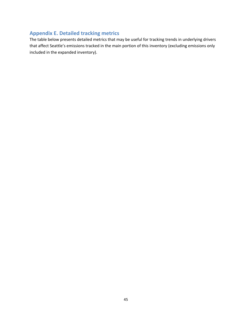# **Appendix E. Detailed tracking metrics**

The table below presents detailed metrics that may be useful for tracking trends in underlying drivers that affect Seattle's emissions tracked in the main portion of this inventory (excluding emissions only included in the expanded inventory).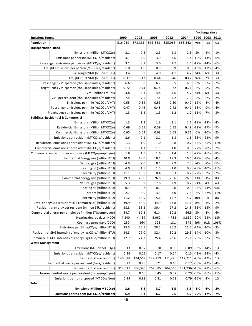|                                                                                                                      |                                                                        |         |         |         |         | % change since: |                |        |        |
|----------------------------------------------------------------------------------------------------------------------|------------------------------------------------------------------------|---------|---------|---------|---------|-----------------|----------------|--------|--------|
| <b>Emissions Source</b>                                                                                              | 1990                                                                   | 2005    | 2008    | 2012    | 2014    |                 | 1990 2008 2012 |        |        |
| Population                                                                                                           |                                                                        | 516,259 | 573,336 | 593,588 | 635,063 | 668,342         | 29%            | 13%    | 5%     |
| <b>Transportation: Road</b>                                                                                          |                                                                        |         |         |         |         |                 |                |        |        |
|                                                                                                                      | Emissions (Million MT CO2e)                                            | 2.1     | 2.3     | 2.3     | 2.3     | 2.3             | 8%             | $-2%$  | $-1%$  |
|                                                                                                                      | Emissions per person ( $MTCO2e/resident$ )                             | 4.1     | 4.0     | 3.9     | 3.6     | 3.4             | $-16%$         | $-13%$ | $-6%$  |
|                                                                                                                      | Passenger emissions per person (MTCO <sub>2</sub> e/resident)          | 3.1     | 3.1     | 3.0     | 2.7     |                 | $2.6$ -17%     | $-14%$ | $-6%$  |
| Freight emissions per person (MT CO2e/resident)                                                                      |                                                                        | 1.0     | 1.0     | 0.9     | 0.9     |                 | $0.8$ -13%     | $-11%$ | $-4%$  |
|                                                                                                                      | Passenger VMT (billion miles)                                          | 3.4     | 3.9     | 4.0     | 4.1     | 4.2             | 24%            | 6%     | 3%     |
|                                                                                                                      | Freight Truck VMT (billion miles)                                      | 0.37    | 0.43    | 0.44    | 0.46    | 0.47            | 26%            | 7%     | 3%     |
|                                                                                                                      | Passenger VMT/person (thousand miles/resident)                         | 6.6     | 6.8     | 6.7     | 6.5     | 6.3             | $-5%$          | $-6%$  | $-2%$  |
|                                                                                                                      | Freight Truck VMT/person (thousand miles/resident)                     | 0.72    | 0.74    | 0.74    | 0.72    | 0.71            | $-3%$          | $-5%$  | $-2%$  |
|                                                                                                                      | VMT (billions miles)                                                   | 3.8     | 4.3     | 4.4     | 4.6     | 4.7             | 24%            | 6%     | 3%     |
|                                                                                                                      | VMT per resident (thousand miles/resident)                             | 7.4     | 7.5     | 7.4     | 7.2     | 7.0             | $-4%$          | $-6%$  | $-2%$  |
|                                                                                                                      | Emissions per mile (kgCO2e/VMT)                                        | 0.55    | 0.54    | 0.53    | 0.50    |                 | $0.49$ -12%    | $-8%$  | $-4%$  |
|                                                                                                                      | Passenger emissions per mile (kgCO2e/VMT)                              | 0.47    | 0.45    | 0.45    | 0.42    |                 | $0.41$ -13%    | $-9%$  | $-4%$  |
|                                                                                                                      | Freight truck emissions per mile (kgCO2e/VMT)                          | 1.3     | 1.3     | 1.3     | 1.2     |                 | $1.2$ -11%     | $-7%$  | $-3%$  |
|                                                                                                                      | <b>Buildings: Residential &amp; Commercial</b>                         |         |         |         |         |                 |                |        |        |
|                                                                                                                      | Emissions (Million MT CO2e)                                            | 1.3     | 1.2     | 1.3     | 1.1     |                 | $1.1$ -18%     | $-13%$ | $-4%$  |
|                                                                                                                      | Residential Emissions (Million MT CO2e)                                | 0.69    | 0.55    | 0.59    | 0.52    | 0.49            | $-29%$         | $-17%$ | $-7%$  |
|                                                                                                                      | Commercial Emissions (Million MT CO2e)                                 | 0.65    | 0.64    | 0.68    | 0.63    | 0.61            | $-6%$          | $-10%$ | $-2%$  |
|                                                                                                                      | Emissions per resident (MTCO <sub>2</sub> e/resident)                  | 2.6     | 2.1     | 2.1     | 1.8     | 1.6             | $-36%$         | $-23%$ | $-9%$  |
|                                                                                                                      | Residential emissions per resident (MTCO <sub>2</sub> e/resident)      | 1.3     | 1.0     | 1.0     | 0.8     | 0.7             | $-45%$         | $-26%$ | $-11%$ |
|                                                                                                                      | Commercial emissions per resident (MTCO <sub>2</sub> e/resident)       | 1.3     | 1.1     | 1.1     | 1.0     | 0.9             | $-27%$         | $-20%$ | $-7%$  |
|                                                                                                                      | Commercial emissions per employee (MTCO <sub>2</sub> e/employee)       | 1.8     | 1.5     | 1.6     | 1.4     |                 | $1.3 - 27%$    | $-16%$ | $-8%$  |
|                                                                                                                      | Residential Energy use (trillion BTU)                                  | 20.0    | 19.0    | 18.1    | 17.3    |                 | $16.6$ -17%    | $-8%$  | $-4%$  |
|                                                                                                                      | Natural gas (trillion BTU)                                             | 4.9     | 7.0     | 8.1     | 7.9     | 7.5             | 54%            | $-7%$  | $-5%$  |
|                                                                                                                      | Heating oil (trillion BTU)                                             | 4.0     | 1.5     | 1.5     | 1.0     |                 | $0.9$ -78%     | $-40%$ | $-11%$ |
|                                                                                                                      | Electricity (trillion BTU)                                             | 11.1    | 10.5    | 8.4     | 8.3     |                 | $8.2$ -27%     | $-3%$  | $-2%$  |
|                                                                                                                      | Commercial energy use (trillion BTU)                                   | 19.9    | 26.0    | 26.8    | 26.6    | 26.5            | 33%            | $-1%$  | 0%     |
|                                                                                                                      | Natural gas (trillion BTU)                                             | 5.3     | 6.9     | 7.8     | 7.9     | 8.2             | 53%            | 4%     | 4%     |
|                                                                                                                      | Heating oil (trillion BTU)                                             | 0.7     | 0.2     | 0.1     | 0.0     |                 | $0.0$ -95%     | $-73%$ | 40%    |
|                                                                                                                      | Steam (trillion BTU)                                                   | 2.7     | 3.0     | 3.3     | 3.0     | 2.6             | $-3%$          | $-22%$ | $-11%$ |
|                                                                                                                      | Electricity (trillion BTU)                                             | 11.2    | 15.9    | 15.6    | 15.7    | 15.7            | 40%            | 1%     | 0%     |
|                                                                                                                      |                                                                        | 39.9    | 45.0    | 44.9    | 43.8    | 43.1            | 8%             | $-4%$  | $-2%$  |
| Total energy use (residential + commercial) (trillion BTU)<br>Residential energy per resident (million BTU/resident) |                                                                        | 38.8    | 33.2    | 30.4    | 27.2    |                 | 24.8 -36%      | $-18%$ | $-9%$  |
|                                                                                                                      | Commercial energy per employee (million BTU/employee)                  | 54.7    | 62.3    | 61.4    | 60.2    | 56.5            | 3%             | $-8%$  | $-6%$  |
|                                                                                                                      | Heating degree days (HDD)                                              | 4,840   | 4,489   | 5,062   | 4,738   | 3,889 - 20%     |                | $-23%$ | $-18%$ |
|                                                                                                                      | Cooling degree days (CDD)                                              | 250     | 164     | 195     | 181     | 372             | 49%            | 91%    | 106%   |
|                                                                                                                      | Emissions per GJ (kg CO <sub>2</sub> e/million BTU)                    | 33.5    | 26.5    | 28.2    | 26.2    |                 | $25.5$ -24%    | $-10%$ | $-3%$  |
|                                                                                                                      | Residential GHG intensity of energy (kg CO <sub>2</sub> e/million BTU) |         | 29.0    | 32.4    | 30.2    |                 | $29.3$ -14%    | $-10%$ | $-3%$  |
|                                                                                                                      |                                                                        | 34.3    |         |         |         |                 |                |        |        |
| Commercial GHG intensity of energy (kg CO <sub>2</sub> e/million BTU)<br><b>Waste Management</b>                     |                                                                        | 32.7    | 24.7    | 25.4    | 23.6    |                 | $23.1$ -29%    | $-9%$  | $-2%$  |
|                                                                                                                      |                                                                        |         |         |         |         |                 |                |        |        |
|                                                                                                                      | Emissions (Million MT $CO2e$ )                                         | 0.13    | 0.12    | 0.10    | 0.09    |                 | $0.09$ -33%    | $-14%$ | 1%     |
|                                                                                                                      | Emissions per resident (MTCO <sub>2</sub> e/resident)                  | 0.26    | 0.21    | 0.17    | 0.14    |                 | $0.13 - 48%$   | $-24%$ | $-4%$  |
|                                                                                                                      | Residential waste (tons)                                               | 140,528 | 134,557 | 127,219 | 111,420 | 112,211 -20%    |                | $-12%$ | 1%     |
| Residential waste per resident (tons/resident)                                                                       |                                                                        | 0.27    | 0.23    | 0.21    | 0.18    |                 | $0.17 - 38%$   | $-22%$ | $-4%$  |
|                                                                                                                      | Nonresidential waste (tons)                                            | 317,317 | 306,345 | 267,685 | 204,563 | 191,936 -40%    |                | $-28%$ | $-6%$  |
|                                                                                                                      | Nonresidential waste per resident (tons/employee)                      | 0.61    | 0.53    | 0.45    | 0.32    |                 | $0.29 - 53%$   | $-36%$ | $-11%$ |
|                                                                                                                      | Emissions per ton disposed (MTCO <sub>2</sub> e/ton)                   | 0.94    | 0.88    | 0.81    | 0.78    |                 | $0.79 - 16%$   | $-3%$  | 1%     |
| Total                                                                                                                |                                                                        |         |         |         |         |                 |                |        |        |
|                                                                                                                      | Emissions (Million MTCO <sub>2</sub> e)                                | 3.6     | 3.6     | 3.7     | 3.5     | 3.5             | $-3%$          | $-6%$  | $-2%$  |
|                                                                                                                      | Emissions per resident (MTCO <sub>2</sub> e/resident)                  | 6.9     | 6.3     | 6.2     | 5.6     |                 | $5.2$ -25%     | $-17%$ | $-7%$  |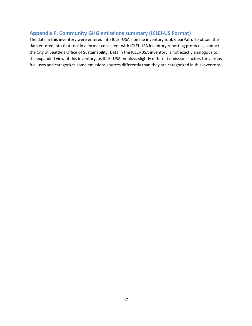# **Appendix F. Community GHG emissions summary (ICLEI‐US Format)**

The data in this inventory were entered into ICLEI‐USA's online inventory tool, ClearPath. To obtain the data entered into that tool in a format consistent with ICLEI‐USA inventory reporting protocols, contact the City of Seattle's Office of Sustainability. Data in the ICLEI‐USA inventory is not exactly analogous to the expanded view of this inventory, as ICLEI‐USA employs slightly different emissions factors for various fuel uses and categorizes some emissions sources differently than they are categorized in this inventory.